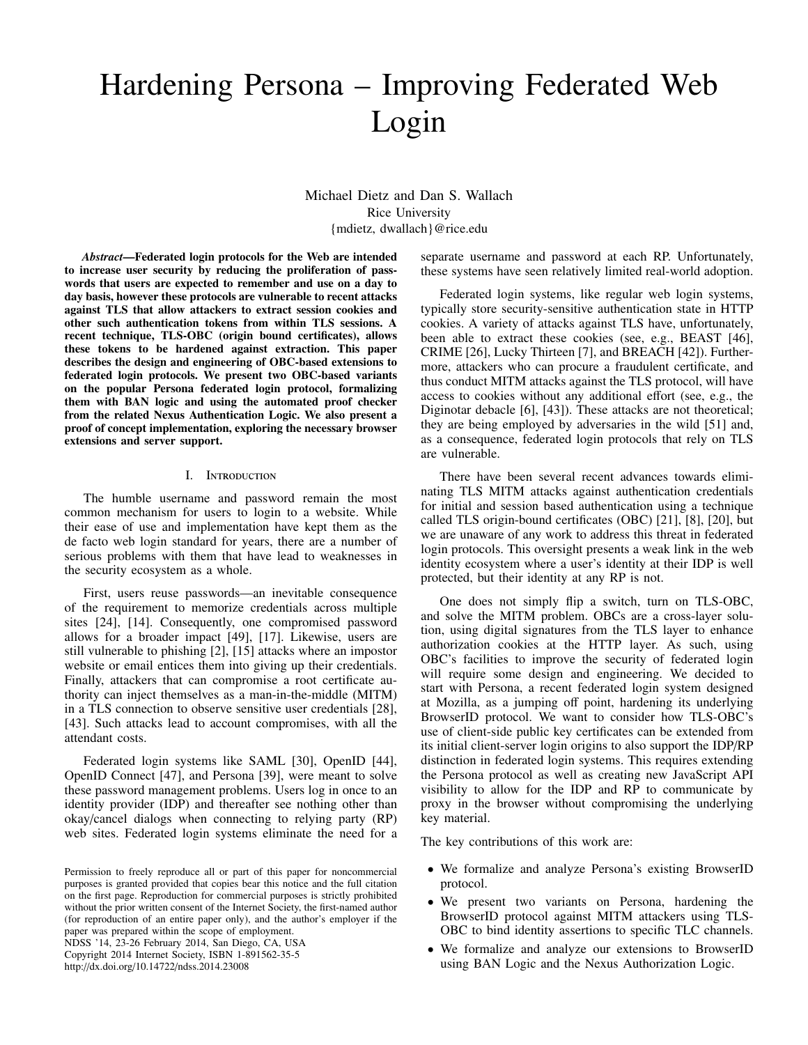# Hardening Persona – Improving Federated Web Login

Michael Dietz and Dan S. Wallach Rice University {mdietz, dwallach}@rice.edu

*Abstract*—Federated login protocols for the Web are intended to increase user security by reducing the proliferation of passwords that users are expected to remember and use on a day to day basis, however these protocols are vulnerable to recent attacks against TLS that allow attackers to extract session cookies and other such authentication tokens from within TLS sessions. A recent technique, TLS-OBC (origin bound certificates), allows these tokens to be hardened against extraction. This paper describes the design and engineering of OBC-based extensions to federated login protocols. We present two OBC-based variants on the popular Persona federated login protocol, formalizing them with BAN logic and using the automated proof checker from the related Nexus Authentication Logic. We also present a proof of concept implementation, exploring the necessary browser extensions and server support.

#### I. Introduction

The humble username and password remain the most common mechanism for users to login to a website. While their ease of use and implementation have kept them as the de facto web login standard for years, there are a number of serious problems with them that have lead to weaknesses in the security ecosystem as a whole.

First, users reuse passwords—an inevitable consequence of the requirement to memorize credentials across multiple sites [24], [14]. Consequently, one compromised password allows for a broader impact [49], [17]. Likewise, users are still vulnerable to phishing [2], [15] attacks where an impostor website or email entices them into giving up their credentials. Finally, attackers that can compromise a root certificate authority can inject themselves as a man-in-the-middle (MITM) in a TLS connection to observe sensitive user credentials [28], [43]. Such attacks lead to account compromises, with all the attendant costs.

Federated login systems like SAML [30], OpenID [44], OpenID Connect [47], and Persona [39], were meant to solve these password management problems. Users log in once to an identity provider (IDP) and thereafter see nothing other than okay/cancel dialogs when connecting to relying party (RP) web sites. Federated login systems eliminate the need for a

NDSS '14, 23-26 February 2014, San Diego, CA, USA Copyright 2014 Internet Society, ISBN 1-891562-35-5 http://dx.doi.org/10.14722/ndss.2014.23008

separate username and password at each RP. Unfortunately, these systems have seen relatively limited real-world adoption.

Federated login systems, like regular web login systems, typically store security-sensitive authentication state in HTTP cookies. A variety of attacks against TLS have, unfortunately, been able to extract these cookies (see, e.g., BEAST [46], CRIME [26], Lucky Thirteen [7], and BREACH [42]). Furthermore, attackers who can procure a fraudulent certificate, and thus conduct MITM attacks against the TLS protocol, will have access to cookies without any additional effort (see, e.g., the Diginotar debacle [6], [43]). These attacks are not theoretical; they are being employed by adversaries in the wild [51] and, as a consequence, federated login protocols that rely on TLS are vulnerable.

There have been several recent advances towards eliminating TLS MITM attacks against authentication credentials for initial and session based authentication using a technique called TLS origin-bound certificates (OBC) [21], [8], [20], but we are unaware of any work to address this threat in federated login protocols. This oversight presents a weak link in the web identity ecosystem where a user's identity at their IDP is well protected, but their identity at any RP is not.

One does not simply flip a switch, turn on TLS-OBC, and solve the MITM problem. OBCs are a cross-layer solution, using digital signatures from the TLS layer to enhance authorization cookies at the HTTP layer. As such, using OBC's facilities to improve the security of federated login will require some design and engineering. We decided to start with Persona, a recent federated login system designed at Mozilla, as a jumping off point, hardening its underlying BrowserID protocol. We want to consider how TLS-OBC's use of client-side public key certificates can be extended from its initial client-server login origins to also support the IDP/RP distinction in federated login systems. This requires extending the Persona protocol as well as creating new JavaScript API visibility to allow for the IDP and RP to communicate by proxy in the browser without compromising the underlying key material.

The key contributions of this work are:

- We formalize and analyze Persona's existing BrowserID protocol.
- We present two variants on Persona, hardening the BrowserID protocol against MITM attackers using TLS-OBC to bind identity assertions to specific TLC channels.
- We formalize and analyze our extensions to BrowserID using BAN Logic and the Nexus Authorization Logic.

Permission to freely reproduce all or part of this paper for noncommercial purposes is granted provided that copies bear this notice and the full citation on the first page. Reproduction for commercial purposes is strictly prohibited without the prior written consent of the Internet Society, the first-named author (for reproduction of an entire paper only), and the author's employer if the paper was prepared within the scope of employment.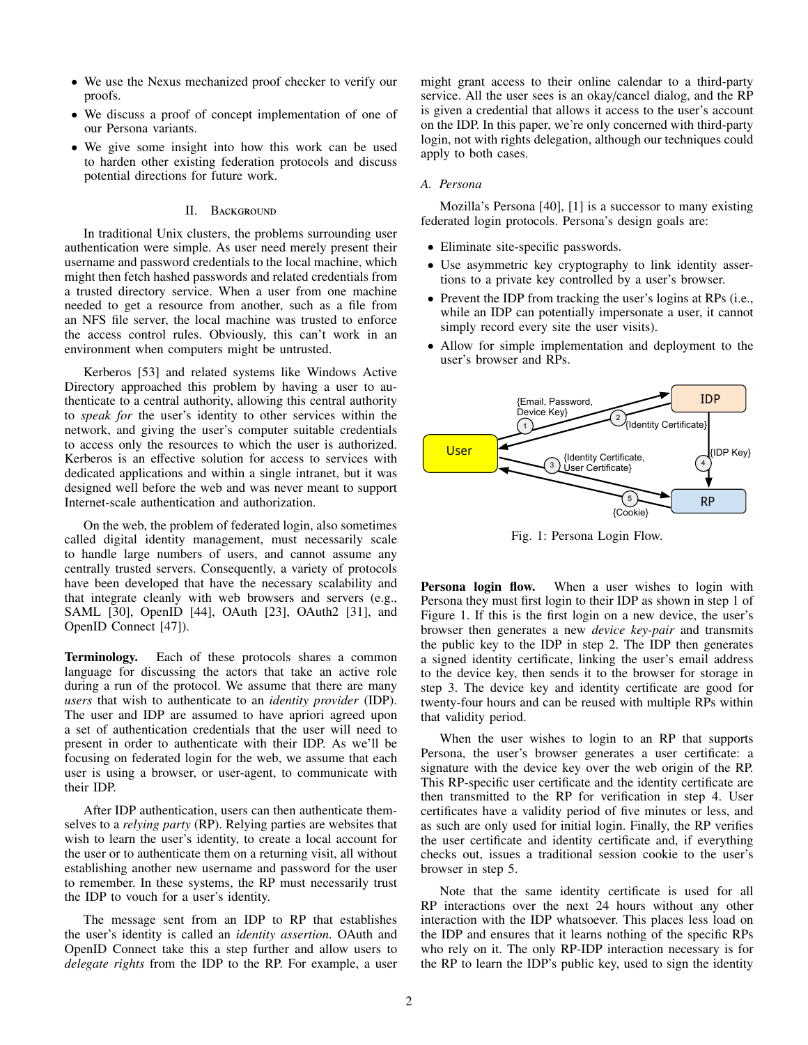- We use the Nexus mechanized proof checker to verify our proofs.
- We discuss a proof of concept implementation of one of our Persona variants.
- We give some insight into how this work can be used to harden other existing federation protocols and discuss potential directions for future work.

## II. BACKGROUND

In traditional Unix clusters, the problems surrounding user authentication were simple. As user need merely present their username and password credentials to the local machine, which might then fetch hashed passwords and related credentials from a trusted directory service. When a user from one machine needed to get a resource from another, such as a file from an NFS file server, the local machine was trusted to enforce the access control rules. Obviously, this can't work in an environment when computers might be untrusted.

Kerberos [53] and related systems like Windows Active Directory approached this problem by having a user to authenticate to a central authority, allowing this central authority to *speak for* the user's identity to other services within the network, and giving the user's computer suitable credentials to access only the resources to which the user is authorized. Kerberos is an effective solution for access to services with dedicated applications and within a single intranet, but it was designed well before the web and was never meant to support Internet-scale authentication and authorization.

On the web, the problem of federated login, also sometimes called digital identity management, must necessarily scale to handle large numbers of users, and cannot assume any centrally trusted servers. Consequently, a variety of protocols have been developed that have the necessary scalability and that integrate cleanly with web browsers and servers (e.g., SAML [30], OpenID [44], OAuth [23], OAuth2 [31], and OpenID Connect [47]).

Terminology. Each of these protocols shares a common language for discussing the actors that take an active role during a run of the protocol. We assume that there are many *users* that wish to authenticate to an *identity provider* (IDP). The user and IDP are assumed to have apriori agreed upon a set of authentication credentials that the user will need to present in order to authenticate with their IDP. As we'll be focusing on federated login for the web, we assume that each user is using a browser, or user-agent, to communicate with their IDP.

After IDP authentication, users can then authenticate themselves to a *relying party* (RP). Relying parties are websites that wish to learn the user's identity, to create a local account for the user or to authenticate them on a returning visit, all without establishing another new username and password for the user to remember. In these systems, the RP must necessarily trust the IDP to vouch for a user's identity.

The message sent from an IDP to RP that establishes the user's identity is called an *identity assertion*. OAuth and OpenID Connect take this a step further and allow users to *delegate rights* from the IDP to the RP. For example, a user might grant access to their online calendar to a third-party service. All the user sees is an okay/cancel dialog, and the RP is given a credential that allows it access to the user's account on the IDP. In this paper, we're only concerned with third-party login, not with rights delegation, although our techniques could apply to both cases.

#### *A. Persona*

Mozilla's Persona [40], [1] is a successor to many existing federated login protocols. Persona's design goals are:

- Eliminate site-specific passwords.
- Use asymmetric key cryptography to link identity assertions to a private key controlled by a user's browser.
- Prevent the IDP from tracking the user's logins at RPs (i.e., while an IDP can potentially impersonate a user, it cannot simply record every site the user visits).
- Allow for simple implementation and deployment to the user's browser and RPs.



Fig. 1: Persona Login Flow.

Persona login flow. When a user wishes to login with Persona they must first login to their IDP as shown in step 1 of Figure 1. If this is the first login on a new device, the user's browser then generates a new *device key-pair* and transmits the public key to the IDP in step 2. The IDP then generates a signed identity certificate, linking the user's email address to the device key, then sends it to the browser for storage in step 3. The device key and identity certificate are good for twenty-four hours and can be reused with multiple RPs within that validity period.

When the user wishes to login to an RP that supports Persona, the user's browser generates a user certificate: a signature with the device key over the web origin of the RP. This RP-specific user certificate and the identity certificate are then transmitted to the RP for verification in step 4. User certificates have a validity period of five minutes or less, and as such are only used for initial login. Finally, the RP verifies the user certificate and identity certificate and, if everything checks out, issues a traditional session cookie to the user's browser in step 5.

Note that the same identity certificate is used for all RP interactions over the next 24 hours without any other interaction with the IDP whatsoever. This places less load on the IDP and ensures that it learns nothing of the specific RPs who rely on it. The only RP-IDP interaction necessary is for the RP to learn the IDP's public key, used to sign the identity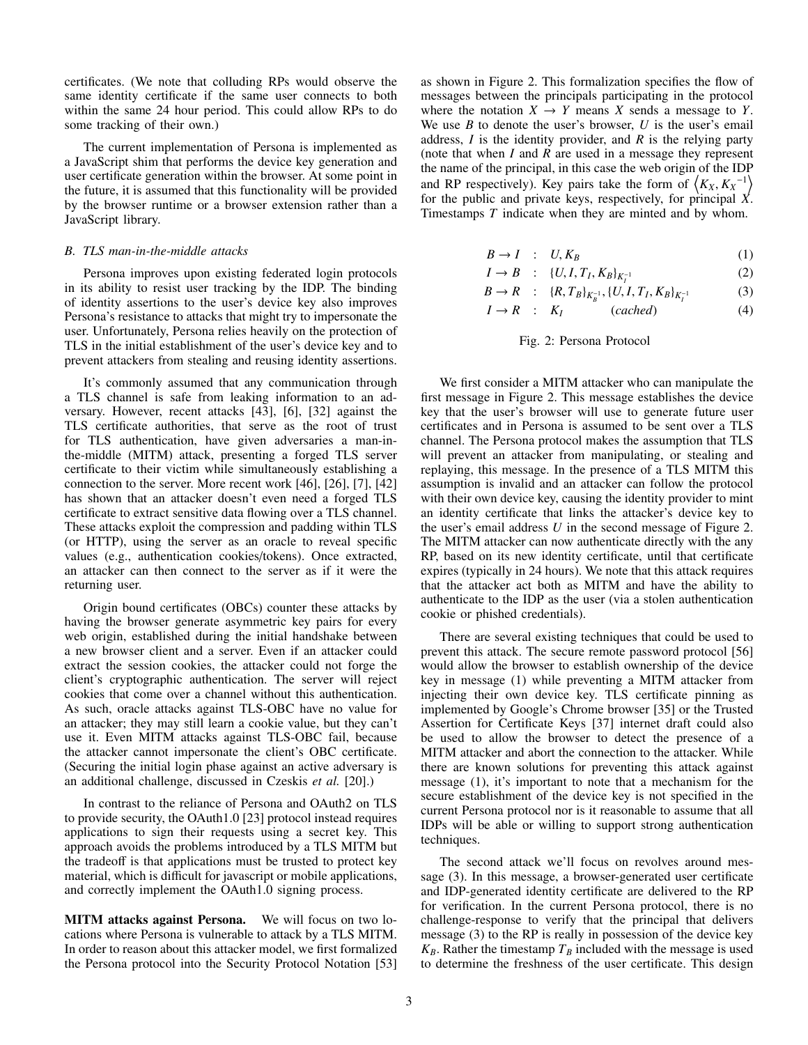certificates. (We note that colluding RPs would observe the same identity certificate if the same user connects to both within the same 24 hour period. This could allow RPs to do some tracking of their own.)

The current implementation of Persona is implemented as a JavaScript shim that performs the device key generation and user certificate generation within the browser. At some point in the future, it is assumed that this functionality will be provided by the browser runtime or a browser extension rather than a JavaScript library.

## *B. TLS man-in-the-middle attacks*

Persona improves upon existing federated login protocols in its ability to resist user tracking by the IDP. The binding of identity assertions to the user's device key also improves Persona's resistance to attacks that might try to impersonate the user. Unfortunately, Persona relies heavily on the protection of TLS in the initial establishment of the user's device key and to prevent attackers from stealing and reusing identity assertions.

It's commonly assumed that any communication through a TLS channel is safe from leaking information to an adversary. However, recent attacks [43], [6], [32] against the TLS certificate authorities, that serve as the root of trust for TLS authentication, have given adversaries a man-inthe-middle (MITM) attack, presenting a forged TLS server certificate to their victim while simultaneously establishing a connection to the server. More recent work [46], [26], [7], [42] has shown that an attacker doesn't even need a forged TLS certificate to extract sensitive data flowing over a TLS channel. These attacks exploit the compression and padding within TLS (or HTTP), using the server as an oracle to reveal specific values (e.g., authentication cookies/tokens). Once extracted, an attacker can then connect to the server as if it were the returning user.

Origin bound certificates (OBCs) counter these attacks by having the browser generate asymmetric key pairs for every web origin, established during the initial handshake between a new browser client and a server. Even if an attacker could extract the session cookies, the attacker could not forge the client's cryptographic authentication. The server will reject cookies that come over a channel without this authentication. As such, oracle attacks against TLS-OBC have no value for an attacker; they may still learn a cookie value, but they can't use it. Even MITM attacks against TLS-OBC fail, because the attacker cannot impersonate the client's OBC certificate. (Securing the initial login phase against an active adversary is an additional challenge, discussed in Czeskis *et al.* [20].)

In contrast to the reliance of Persona and OAuth2 on TLS to provide security, the OAuth1.0 [23] protocol instead requires applications to sign their requests using a secret key. This approach avoids the problems introduced by a TLS MITM but the tradeoff is that applications must be trusted to protect key material, which is difficult for javascript or mobile applications, and correctly implement the OAuth1.0 signing process.

MITM attacks against Persona. We will focus on two locations where Persona is vulnerable to attack by a TLS MITM. In order to reason about this attacker model, we first formalized the Persona protocol into the Security Protocol Notation [53] as shown in Figure 2. This formalization specifies the flow of messages between the principals participating in the protocol where the notation  $X \to Y$  means *X* sends a message to *Y*. We use *B* to denote the user's browser, *U* is the user's email address, *I* is the identity provider, and *R* is the relying party (note that when *I* and *R* are used in a message they represent the name of the principal, in this case the web origin of the IDP and RP respectively). Key pairs take the form of  $\langle K_X, K_X^{-1} \rangle$ for the public and private keys, respectively, for principal *X*. Timestamps *T* indicate when they are minted and by whom.

$$
B \to I : U, K_B \tag{1}
$$

$$
I \to B \quad : \quad \{U, I, T_I, K_B\}_{K_I^{-1}} \tag{2}
$$

$$
B \to R \quad : \quad \{R, T_B\}_{K_B^{-1}}, \{U, I, T_I, K_B\}_{K_I^{-1}} \tag{3}
$$

$$
I \to R \quad : \quad K_I \qquad \qquad (cached) \tag{4}
$$

# Fig. 2: Persona Protocol

We first consider a MITM attacker who can manipulate the first message in Figure 2. This message establishes the device key that the user's browser will use to generate future user certificates and in Persona is assumed to be sent over a TLS channel. The Persona protocol makes the assumption that TLS will prevent an attacker from manipulating, or stealing and replaying, this message. In the presence of a TLS MITM this assumption is invalid and an attacker can follow the protocol with their own device key, causing the identity provider to mint an identity certificate that links the attacker's device key to the user's email address *U* in the second message of Figure 2. The MITM attacker can now authenticate directly with the any RP, based on its new identity certificate, until that certificate expires (typically in 24 hours). We note that this attack requires that the attacker act both as MITM and have the ability to authenticate to the IDP as the user (via a stolen authentication cookie or phished credentials).

There are several existing techniques that could be used to prevent this attack. The secure remote password protocol [56] would allow the browser to establish ownership of the device key in message (1) while preventing a MITM attacker from injecting their own device key. TLS certificate pinning as implemented by Google's Chrome browser [35] or the Trusted Assertion for Certificate Keys [37] internet draft could also be used to allow the browser to detect the presence of a MITM attacker and abort the connection to the attacker. While there are known solutions for preventing this attack against message (1), it's important to note that a mechanism for the secure establishment of the device key is not specified in the current Persona protocol nor is it reasonable to assume that all IDPs will be able or willing to support strong authentication techniques.

The second attack we'll focus on revolves around message (3). In this message, a browser-generated user certificate and IDP-generated identity certificate are delivered to the RP for verification. In the current Persona protocol, there is no challenge-response to verify that the principal that delivers message (3) to the RP is really in possession of the device key  $K_B$ . Rather the timestamp  $T_B$  included with the message is used to determine the freshness of the user certificate. This design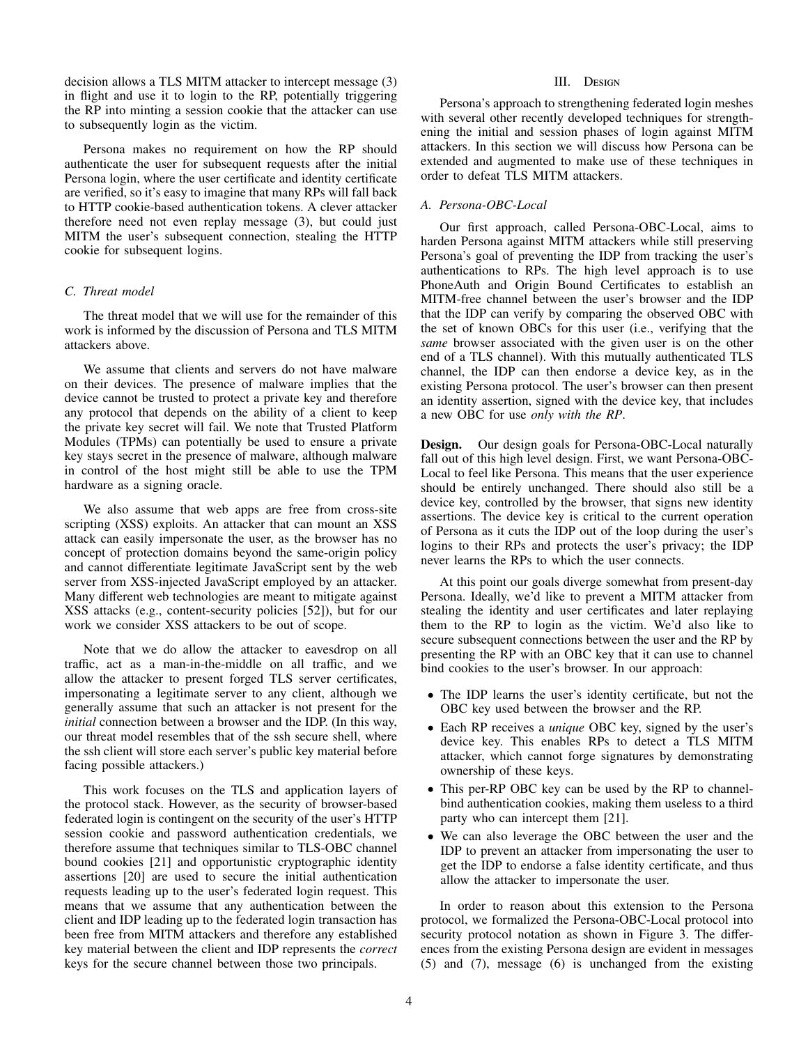decision allows a TLS MITM attacker to intercept message (3) in flight and use it to login to the RP, potentially triggering the RP into minting a session cookie that the attacker can use to subsequently login as the victim.

Persona makes no requirement on how the RP should authenticate the user for subsequent requests after the initial Persona login, where the user certificate and identity certificate are verified, so it's easy to imagine that many RPs will fall back to HTTP cookie-based authentication tokens. A clever attacker therefore need not even replay message (3), but could just MITM the user's subsequent connection, stealing the HTTP cookie for subsequent logins.

## *C. Threat model*

The threat model that we will use for the remainder of this work is informed by the discussion of Persona and TLS MITM attackers above.

We assume that clients and servers do not have malware on their devices. The presence of malware implies that the device cannot be trusted to protect a private key and therefore any protocol that depends on the ability of a client to keep the private key secret will fail. We note that Trusted Platform Modules (TPMs) can potentially be used to ensure a private key stays secret in the presence of malware, although malware in control of the host might still be able to use the TPM hardware as a signing oracle.

We also assume that web apps are free from cross-site scripting (XSS) exploits. An attacker that can mount an XSS attack can easily impersonate the user, as the browser has no concept of protection domains beyond the same-origin policy and cannot differentiate legitimate JavaScript sent by the web server from XSS-injected JavaScript employed by an attacker. Many different web technologies are meant to mitigate against XSS attacks (e.g., content-security policies [52]), but for our work we consider XSS attackers to be out of scope.

Note that we do allow the attacker to eavesdrop on all traffic, act as a man-in-the-middle on all traffic, and we allow the attacker to present forged TLS server certificates, impersonating a legitimate server to any client, although we generally assume that such an attacker is not present for the *initial* connection between a browser and the IDP. (In this way, our threat model resembles that of the ssh secure shell, where the ssh client will store each server's public key material before facing possible attackers.)

This work focuses on the TLS and application layers of the protocol stack. However, as the security of browser-based federated login is contingent on the security of the user's HTTP session cookie and password authentication credentials, we therefore assume that techniques similar to TLS-OBC channel bound cookies [21] and opportunistic cryptographic identity assertions [20] are used to secure the initial authentication requests leading up to the user's federated login request. This means that we assume that any authentication between the client and IDP leading up to the federated login transaction has been free from MITM attackers and therefore any established key material between the client and IDP represents the *correct* keys for the secure channel between those two principals.

# III. Design

Persona's approach to strengthening federated login meshes with several other recently developed techniques for strengthening the initial and session phases of login against MITM attackers. In this section we will discuss how Persona can be extended and augmented to make use of these techniques in order to defeat TLS MITM attackers.

# *A. Persona-OBC-Local*

Our first approach, called Persona-OBC-Local, aims to harden Persona against MITM attackers while still preserving Persona's goal of preventing the IDP from tracking the user's authentications to RPs. The high level approach is to use PhoneAuth and Origin Bound Certificates to establish an MITM-free channel between the user's browser and the IDP that the IDP can verify by comparing the observed OBC with the set of known OBCs for this user (i.e., verifying that the *same* browser associated with the given user is on the other end of a TLS channel). With this mutually authenticated TLS channel, the IDP can then endorse a device key, as in the existing Persona protocol. The user's browser can then present an identity assertion, signed with the device key, that includes a new OBC for use *only with the RP*.

Design. Our design goals for Persona-OBC-Local naturally fall out of this high level design. First, we want Persona-OBC-Local to feel like Persona. This means that the user experience should be entirely unchanged. There should also still be a device key, controlled by the browser, that signs new identity assertions. The device key is critical to the current operation of Persona as it cuts the IDP out of the loop during the user's logins to their RPs and protects the user's privacy; the IDP never learns the RPs to which the user connects.

At this point our goals diverge somewhat from present-day Persona. Ideally, we'd like to prevent a MITM attacker from stealing the identity and user certificates and later replaying them to the RP to login as the victim. We'd also like to secure subsequent connections between the user and the RP by presenting the RP with an OBC key that it can use to channel bind cookies to the user's browser. In our approach:

- The IDP learns the user's identity certificate, but not the OBC key used between the browser and the RP.
- Each RP receives a *unique* OBC key, signed by the user's device key. This enables RPs to detect a TLS MITM attacker, which cannot forge signatures by demonstrating ownership of these keys.
- This per-RP OBC key can be used by the RP to channelbind authentication cookies, making them useless to a third party who can intercept them [21].
- We can also leverage the OBC between the user and the IDP to prevent an attacker from impersonating the user to get the IDP to endorse a false identity certificate, and thus allow the attacker to impersonate the user.

In order to reason about this extension to the Persona protocol, we formalized the Persona-OBC-Local protocol into security protocol notation as shown in Figure 3. The differences from the existing Persona design are evident in messages (5) and (7), message (6) is unchanged from the existing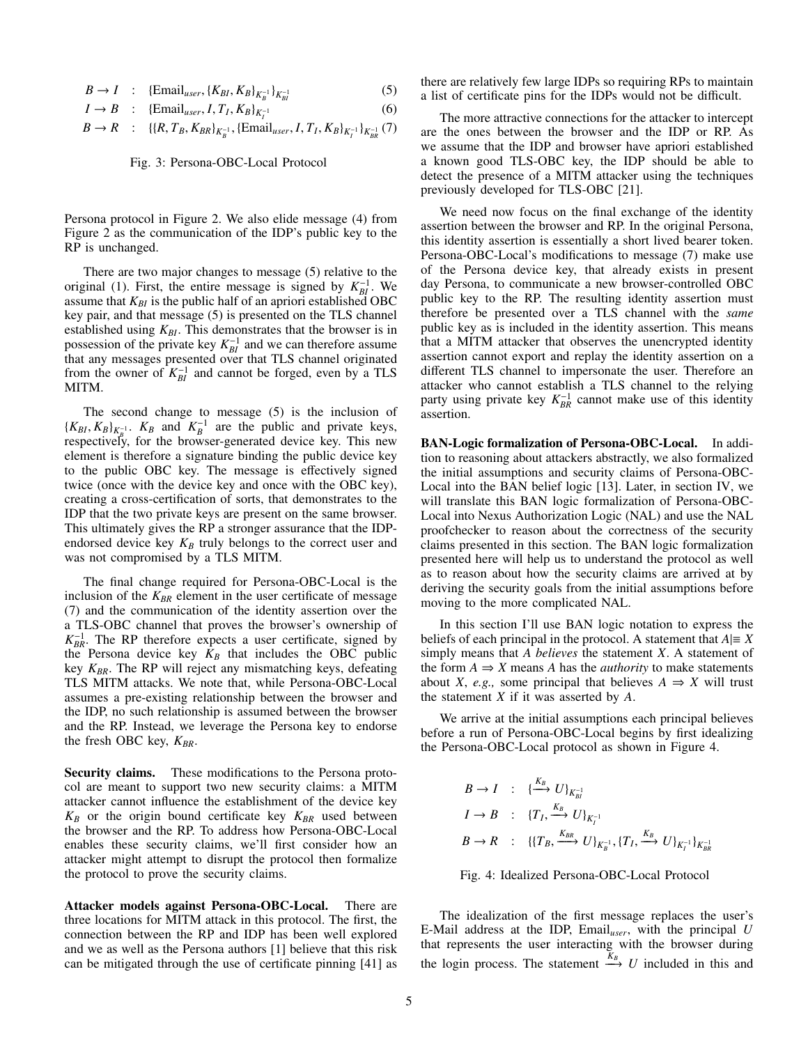$$
B \to I \quad : \quad \{ \text{Email}_{user}, \{K_{BI}, K_B\}_{K_B^{-1}} \}_{K_{BI}^{-1}} \tag{5}
$$

$$
I \to B \quad : \quad \{\text{Email}_{user}, I, T_I, K_B\}_{K_I^{-1}} \tag{6}
$$

$$
B \to R \quad : \quad \{ \{R, T_B, K_{BR} \}_{K_B^{-1}}, \{ \text{Email}_{user}, I, T_I, K_B \}_{K_I^{-1}} \}_{K_{BR}^{-1}} \tag{7}
$$

Fig. 3: Persona-OBC-Local Protocol

Persona protocol in Figure 2. We also elide message (4) from Figure 2 as the communication of the IDP's public key to the RP is unchanged.

There are two major changes to message (5) relative to the original (1). First, the entire message is signed by  $K_{BI}^{-1}$ . We assume that  $K_{BI}$  is the public half of an apriori established OBC key pair, and that message (5) is presented on the TLS channel established using  $K_{BI}$ . This demonstrates that the browser is in possession of the private key  $K_{BI}^{-1}$  and we can therefore assume that any messages presented over that TLS channel originated from the owner of  $K_{BI}^{-1}$  and cannot be forged, even by a TLS MITM.

The second change to message (5) is the inclusion of  $\{K_{BI}, K_B\}_{K_B^{-1}}$ .  $K_B$  and  $K_B^{-1}$  are the public and private keys, respectively, for the browser-generated device key. This new element is therefore a signature binding the public device key to the public OBC key. The message is effectively signed twice (once with the device key and once with the OBC key), creating a cross-certification of sorts, that demonstrates to the IDP that the two private keys are present on the same browser. This ultimately gives the RP a stronger assurance that the IDPendorsed device key  $K_B$  truly belongs to the correct user and was not compromised by a TLS MITM.

The final change required for Persona-OBC-Local is the inclusion of the  $K_{BR}$  element in the user certificate of message (7) and the communication of the identity assertion over the a TLS-OBC channel that proves the browser's ownership of  $K_{BR}^{-1}$ . The RP therefore expects a user certificate, signed by the Persona device key  $K_B$  that includes the OBC public key *K<sub>BR</sub>*. The RP will reject any mismatching keys, defeating TLS MITM attacks. We note that, while Persona-OBC-Local assumes a pre-existing relationship between the browser and the IDP, no such relationship is assumed between the browser and the RP. Instead, we leverage the Persona key to endorse the fresh OBC key,  $K_{BR}$ .

Security claims. These modifications to the Persona protocol are meant to support two new security claims: a MITM attacker cannot influence the establishment of the device key  $K_B$  or the origin bound certificate key  $K_{BR}$  used between the browser and the RP. To address how Persona-OBC-Local enables these security claims, we'll first consider how an attacker might attempt to disrupt the protocol then formalize the protocol to prove the security claims.

Attacker models against Persona-OBC-Local. There are three locations for MITM attack in this protocol. The first, the connection between the RP and IDP has been well explored and we as well as the Persona authors [1] believe that this risk can be mitigated through the use of certificate pinning [41] as

there are relatively few large IDPs so requiring RPs to maintain a list of certificate pins for the IDPs would not be difficult.

The more attractive connections for the attacker to intercept are the ones between the browser and the IDP or RP. As we assume that the IDP and browser have apriori established a known good TLS-OBC key, the IDP should be able to detect the presence of a MITM attacker using the techniques previously developed for TLS-OBC [21].

We need now focus on the final exchange of the identity assertion between the browser and RP. In the original Persona, this identity assertion is essentially a short lived bearer token. Persona-OBC-Local's modifications to message (7) make use of the Persona device key, that already exists in present day Persona, to communicate a new browser-controlled OBC public key to the RP. The resulting identity assertion must therefore be presented over a TLS channel with the *same* public key as is included in the identity assertion. This means that a MITM attacker that observes the unencrypted identity assertion cannot export and replay the identity assertion on a different TLS channel to impersonate the user. Therefore an attacker who cannot establish a TLS channel to the relying party using private key  $K_{BR}^{-1}$  cannot make use of this identity assertion.

BAN-Logic formalization of Persona-OBC-Local. In addition to reasoning about attackers abstractly, we also formalized the initial assumptions and security claims of Persona-OBC-Local into the BAN belief logic [13]. Later, in section IV, we will translate this BAN logic formalization of Persona-OBC-Local into Nexus Authorization Logic (NAL) and use the NAL proofchecker to reason about the correctness of the security claims presented in this section. The BAN logic formalization presented here will help us to understand the protocol as well as to reason about how the security claims are arrived at by deriving the security goals from the initial assumptions before moving to the more complicated NAL.

In this section I'll use BAN logic notation to express the beliefs of each principal in the protocol. A statement that  $A \equiv X$ simply means that *A believes* the statement *X*. A statement of the form  $A \Rightarrow X$  means *A* has the *authority* to make statements about *X*, *e.g.*, some principal that believes  $A \Rightarrow X$  will trust the statement *X* if it was asserted by *A*.

We arrive at the initial assumptions each principal believes before a run of Persona-OBC-Local begins by first idealizing the Persona-OBC-Local protocol as shown in Figure 4.

$$
B \to I : \{\stackrel{K_B}{\longrightarrow} U\}_{K_{BI}^{-1}}
$$
  
\n
$$
I \to B : \{T_I, \stackrel{K_B}{\longrightarrow} U\}_{K_I^{-1}}
$$
  
\n
$$
B \to R : \{\{T_B, \stackrel{K_{BR}}{\longrightarrow} U\}_{K_B^{-1}}, \{T_I, \stackrel{K_B}{\longrightarrow} U\}_{K_I^{-1}}\}_{K_{BR}^{-1}}
$$



The idealization of the first message replaces the user's E-Mail address at the IDP, Email*user*, with the principal *U* that represents the user interacting with the browser during the login process. The statement  $\xrightarrow{K_B} U$  included in this and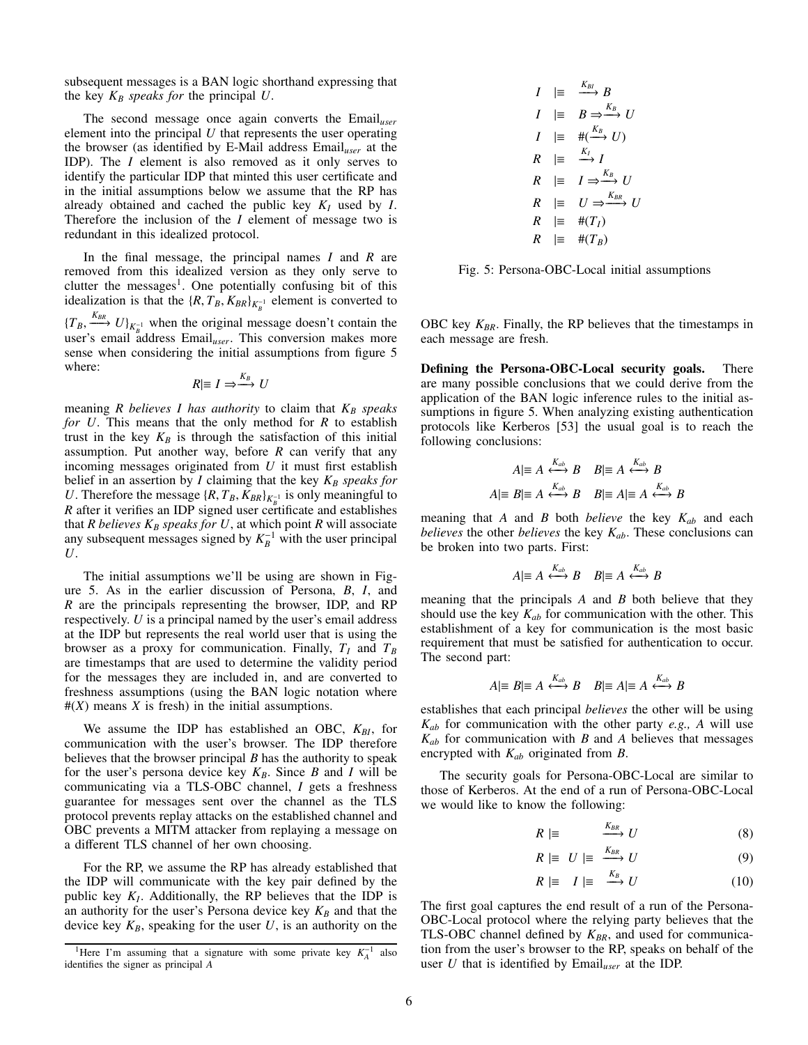subsequent messages is a BAN logic shorthand expressing that the key  $K_B$  *speaks for* the principal  $U$ .

The second message once again converts the Email*user* element into the principal *U* that represents the user operating the browser (as identified by E-Mail address Email*user* at the IDP). The *I* element is also removed as it only serves to identify the particular IDP that minted this user certificate and in the initial assumptions below we assume that the RP has already obtained and cached the public key  $K_I$  used by  $I$ . Therefore the inclusion of the *I* element of message two is redundant in this idealized protocol.

In the final message, the principal names *I* and *R* are removed from this idealized version as they only serve to clutter the messages<sup>1</sup>. One potentially confusing bit of this idealization is that the  $\{R, T_B, K_{BR}\}_{K_B^{-1}}$  element is converted to  $\{T_B, \frac{K_{BR}}{\sum_{i=1}^{R} N_i} U\}_{K_B^{-1}}$  when the original message doesn't contain the user's email address Email*user*. This conversion makes more sense when considering the initial assumptions from figure 5 where:

$$
R|\equiv I\Rightarrow\stackrel{K_B}{\longrightarrow} U
$$

meaning  $R$  believes  $I$  has authority to claim that  $K_B$  speaks *for U*. This means that the only method for *R* to establish trust in the key  $K_B$  is through the satisfaction of this initial assumption. Put another way, before *R* can verify that any incoming messages originated from *U* it must first establish belief in an assertion by  $I$  claiming that the key  $K_B$  speaks for *U*. Therefore the message  $\{R, T_B, K_{BR}\}_{K_B^{-1}}$  is only meaningful to *R* after it verifies an IDP signed user certificate and establishes that *R* believes  $K_B$  speaks for U, at which point *R* will associate any subsequent messages signed by  $K_B^{-1}$  with the user principal *U*.

The initial assumptions we'll be using are shown in Figure 5. As in the earlier discussion of Persona, *B*, *I*, and *R* are the principals representing the browser, IDP, and RP respectively. *U* is a principal named by the user's email address at the IDP but represents the real world user that is using the browser as a proxy for communication. Finally,  $T_I$  and  $T_B$ are timestamps that are used to determine the validity period for the messages they are included in, and are converted to freshness assumptions (using the BAN logic notation where  $#(X)$  means *X* is fresh) in the initial assumptions.

We assume the IDP has established an OBC,  $K_{BI}$ , for communication with the user's browser. The IDP therefore believes that the browser principal *B* has the authority to speak for the user's persona device key  $K_B$ . Since *B* and *I* will be communicating via a TLS-OBC channel, *I* gets a freshness guarantee for messages sent over the channel as the TLS protocol prevents replay attacks on the established channel and OBC prevents a MITM attacker from replaying a message on a different TLS channel of her own choosing.

For the RP, we assume the RP has already established that the IDP will communicate with the key pair defined by the public key  $K_I$ . Additionally, the RP believes that the IDP is an authority for the user's Persona device key  $K_B$  and that the device key  $K_B$ , speaking for the user  $U$ , is an authority on the

$$
I \mid \equiv \xrightarrow{K_{BI}} B
$$
  
\n
$$
I \mid \equiv B \Rightarrow \xrightarrow{K_B} U
$$
  
\n
$$
I \mid \equiv \#(\xrightarrow{K_B} U)
$$
  
\n
$$
R \mid \equiv \xrightarrow{K_I} I
$$
  
\n
$$
R \mid \equiv I \Rightarrow \xrightarrow{K_B} U
$$
  
\n
$$
R \mid \equiv U \Rightarrow \xrightarrow{K_{BR}} U
$$
  
\n
$$
R \mid \equiv \#(T_I)
$$
  
\n
$$
R \mid \equiv \#(T_B)
$$

Fig. 5: Persona-OBC-Local initial assumptions

OBC key  $K_{BR}$ . Finally, the RP believes that the timestamps in each message are fresh.

Defining the Persona-OBC-Local security goals. There are many possible conclusions that we could derive from the application of the BAN logic inference rules to the initial assumptions in figure 5. When analyzing existing authentication protocols like Kerberos [53] the usual goal is to reach the following conclusions:

$$
A|\equiv A \stackrel{K_{ab}}{\longleftrightarrow} B \quad B|\equiv A \stackrel{K_{ab}}{\longleftrightarrow} B
$$

$$
A|\equiv B|\equiv A \stackrel{K_{ab}}{\longleftrightarrow} B \quad B|\equiv A|\equiv A \stackrel{K_{ab}}{\longleftrightarrow} B
$$

meaning that *A* and *B* both *believe* the key *Kab* and each *believes* the other *believes* the key *Kab*. These conclusions can be broken into two parts. First:

$$
A|\equiv A \stackrel{K_{ab}}{\longleftrightarrow} B \quad B|\equiv A \stackrel{K_{ab}}{\longleftrightarrow} B
$$

meaning that the principals *A* and *B* both believe that they should use the key  $K_{ab}$  for communication with the other. This establishment of a key for communication is the most basic requirement that must be satisfied for authentication to occur. The second part:

$$
A|\equiv B|\equiv A \stackrel{K_{ab}}{\longleftrightarrow} B \quad B|\equiv A|\equiv A \stackrel{K_{ab}}{\longleftrightarrow} B
$$

establishes that each principal *believes* the other will be using *Kab* for communication with the other party *e.g., A* will use *Kab* for communication with *B* and *A* believes that messages encrypted with *Kab* originated from *B*.

The security goals for Persona-OBC-Local are similar to those of Kerberos. At the end of a run of Persona-OBC-Local we would like to know the following:

$$
R \mid \equiv \qquad \xrightarrow{K_{BR}} U \tag{8}
$$

$$
R \mid \equiv U \mid \equiv \xrightarrow{K_{BR}} U \tag{9}
$$

$$
R \mid \equiv I \mid \equiv \stackrel{K_B}{\longrightarrow} U \tag{10}
$$

The first goal captures the end result of a run of the Persona-OBC-Local protocol where the relying party believes that the TLS-OBC channel defined by  $K_{BR}$ , and used for communication from the user's browser to the RP, speaks on behalf of the user *U* that is identified by Email*user* at the IDP.

<sup>&</sup>lt;sup>1</sup>Here I'm assuming that a signature with some private key  $K_A^{-1}$  also identifies the signer as principal *A*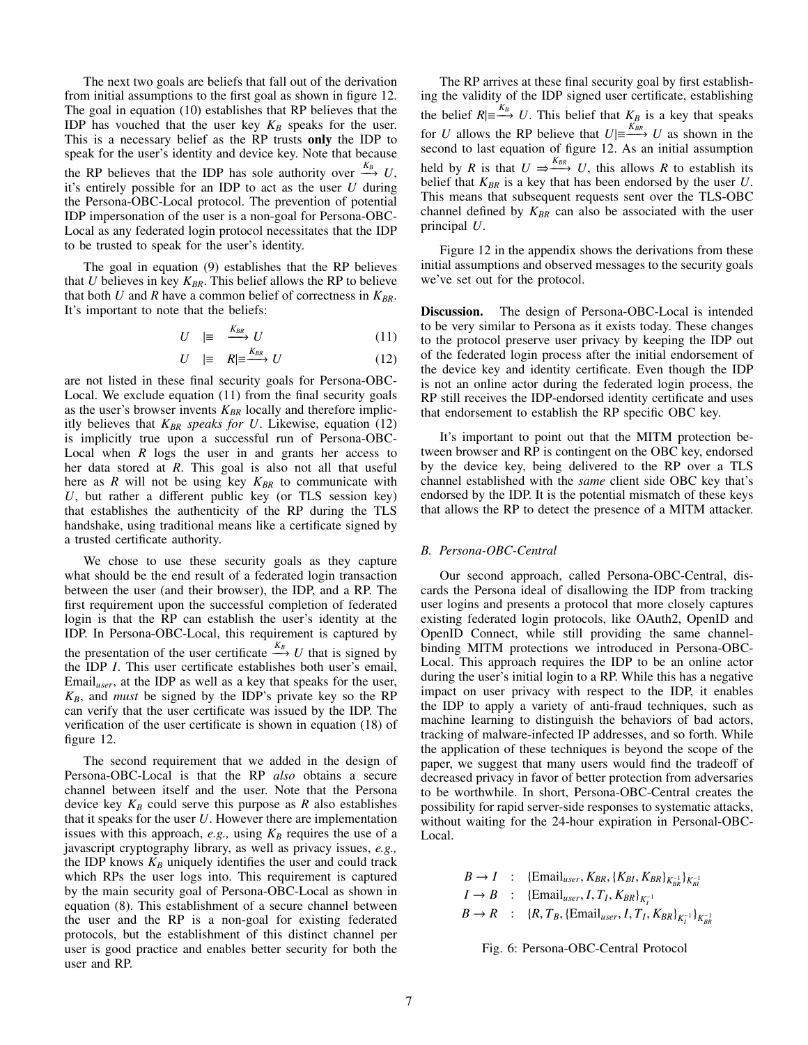The next two goals are beliefs that fall out of the derivation from initial assumptions to the first goal as shown in figure 12. The goal in equation (10) establishes that RP believes that the IDP has vouched that the user key  $K_B$  speaks for the user. This is a necessary belief as the RP trusts only the IDP to speak for the user's identity and device key. Note that because the RP believes that the IDP has sole authority over  $\frac{K_B}{K}$  U, it's entirely possible for an IDP to act as the user *U* during the Persona-OBC-Local protocol. The prevention of potential IDP impersonation of the user is a non-goal for Persona-OBC-Local as any federated login protocol necessitates that the IDP to be trusted to speak for the user's identity.

The goal in equation (9) establishes that the RP believes that  $U$  believes in key  $K_{BR}$ . This belief allows the RP to believe that both  $U$  and  $R$  have a common belief of correctness in  $K_{BR}$ . It's important to note that the beliefs:

$$
U \equiv \xrightarrow{K_{BR}} U \tag{11}
$$

$$
U \quad |\equiv \quad R | \equiv \xrightarrow{K_{BR}} U \tag{12}
$$

are not listed in these final security goals for Persona-OBC-Local. We exclude equation (11) from the final security goals as the user's browser invents  $K_{BR}$  locally and therefore implicitly believes that  $K_{BR}$  *speaks for U*. Likewise, equation (12) is implicitly true upon a successful run of Persona-OBC-Local when *R* logs the user in and grants her access to her data stored at *R*. This goal is also not all that useful here as  $R$  will not be using key  $K_{BR}$  to communicate with  $U$ , but rather a different public key (or TLS session key) that establishes the authenticity of the RP during the TLS handshake, using traditional means like a certificate signed by a trusted certificate authority.

We chose to use these security goals as they capture what should be the end result of a federated login transaction between the user (and their browser), the IDP, and a RP. The first requirement upon the successful completion of federated login is that the RP can establish the user's identity at the IDP. In Persona-OBC-Local, this requirement is captured by the presentation of the user certificate  $\frac{K_B}{L}$  *U* that is signed by the IDP *I*. This user certificate establishes both user's email, Email*user*, at the IDP as well as a key that speaks for the user,  $K_B$ , and *must* be signed by the IDP's private key so the RP can verify that the user certificate was issued by the IDP. The verification of the user certificate is shown in equation (18) of figure 12.

The second requirement that we added in the design of Persona-OBC-Local is that the RP *also* obtains a secure channel between itself and the user. Note that the Persona device key  $K_B$  could serve this purpose as  $R$  also establishes that it speaks for the user *U*. However there are implementation issues with this approach,  $e.g.,$  using  $K_B$  requires the use of a javascript cryptography library, as well as privacy issues, *e.g.,* the IDP knows  $K_B$  uniquely identifies the user and could track which RPs the user logs into. This requirement is captured by the main security goal of Persona-OBC-Local as shown in equation (8). This establishment of a secure channel between the user and the RP is a non-goal for existing federated protocols, but the establishment of this distinct channel per user is good practice and enables better security for both the user and RP.

The RP arrives at these final security goal by first establishing the validity of the IDP signed user certificate, establishing the belief  $R \equiv \xrightarrow{K_B} U$ . This belief that  $\xrightarrow{K_B}$  is a key that speaks for *U* allows the RP believe that  $U \equiv \frac{K_{BR}}{U}$  *U* as shown in the second to last equation of figure 12. As an initial assumption held by *R* is that  $U \Rightarrow^{K_{BR}} U$ , this allows *R* to establish its belief that  $K_{BR}$  is a key that has been endorsed by the user  $U$ . This means that subsequent requests sent over the TLS-OBC channel defined by  $K_{BR}$  can also be associated with the user principal *U*.

Figure 12 in the appendix shows the derivations from these initial assumptions and observed messages to the security goals we've set out for the protocol.

Discussion. The design of Persona-OBC-Local is intended to be very similar to Persona as it exists today. These changes to the protocol preserve user privacy by keeping the IDP out of the federated login process after the initial endorsement of the device key and identity certificate. Even though the IDP is not an online actor during the federated login process, the RP still receives the IDP-endorsed identity certificate and uses that endorsement to establish the RP specific OBC key.

It's important to point out that the MITM protection between browser and RP is contingent on the OBC key, endorsed by the device key, being delivered to the RP over a TLS channel established with the *same* client side OBC key that's endorsed by the IDP. It is the potential mismatch of these keys that allows the RP to detect the presence of a MITM attacker.

## *B. Persona-OBC-Central*

Our second approach, called Persona-OBC-Central, discards the Persona ideal of disallowing the IDP from tracking user logins and presents a protocol that more closely captures existing federated login protocols, like OAuth2, OpenID and OpenID Connect, while still providing the same channelbinding MITM protections we introduced in Persona-OBC-Local. This approach requires the IDP to be an online actor during the user's initial login to a RP. While this has a negative impact on user privacy with respect to the IDP, it enables the IDP to apply a variety of anti-fraud techniques, such as machine learning to distinguish the behaviors of bad actors, tracking of malware-infected IP addresses, and so forth. While the application of these techniques is beyond the scope of the paper, we suggest that many users would find the tradeoff of decreased privacy in favor of better protection from adversaries to be worthwhile. In short, Persona-OBC-Central creates the possibility for rapid server-side responses to systematic attacks, without waiting for the 24-hour expiration in Personal-OBC-Local.

> $B \rightarrow I$  : {Email<sub>user</sub>,  $K_{BR}$ , { $K_{BI}$ ,  $K_{BR}$ }<sub> $K_{BR}^{-1}$ </sub>}<sub> $K_{BI}^{-1}$ </sub>  $I \rightarrow B$  : {Email<sub>user</sub>, *I*, *T*<sub>*I*</sub>, *K<sub>BR</sub>*}<sub>*K*<sup>-1</sup></sup></sup></sub>  $B \to R$  : {*R*, *T<sub>B</sub>*, {Email<sub>user</sub>, *I*, *T<sub>I</sub>*, *K<sub>BR</sub>*}<sub>*K<sub>I</sub>*</sub><sup>1</sup><sub>*N<sub>BR</sub>*</sup><sub>*RR*</sub></sub>

Fig. 6: Persona-OBC-Central Protocol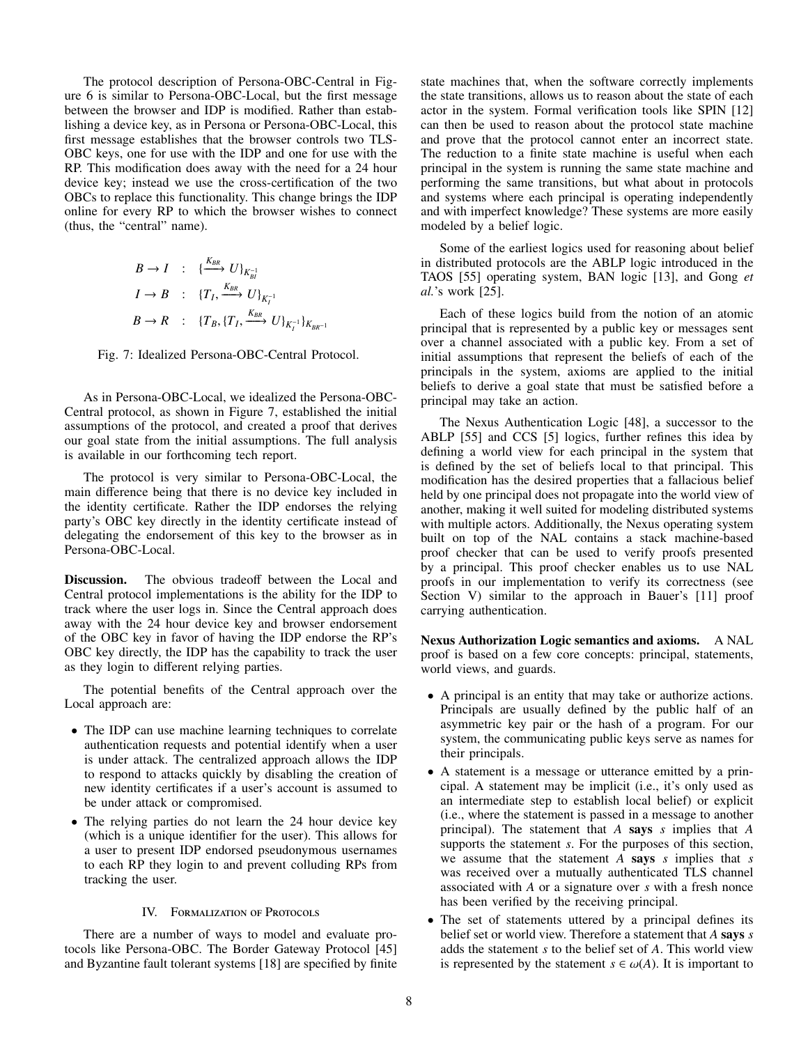The protocol description of Persona-OBC-Central in Figure 6 is similar to Persona-OBC-Local, but the first message between the browser and IDP is modified. Rather than establishing a device key, as in Persona or Persona-OBC-Local, this first message establishes that the browser controls two TLS-OBC keys, one for use with the IDP and one for use with the RP. This modification does away with the need for a 24 hour device key; instead we use the cross-certification of the two OBCs to replace this functionality. This change brings the IDP online for every RP to which the browser wishes to connect (thus, the "central" name).

$$
B \to I : \{\frac{K_{BR}}{K_{BI}} U\}_{K_{BI}^{-1}}
$$
  

$$
I \to B : \{T_I, \frac{K_{BR}}{K_I} U\}_{K_I^{-1}}
$$
  

$$
B \to R : \{T_B, \{T_I, \frac{K_{BR}}{K_I} U\}_{K_I^{-1}}\}_{K_{BR^{-1}}}
$$

Fig. 7: Idealized Persona-OBC-Central Protocol.

As in Persona-OBC-Local, we idealized the Persona-OBC-Central protocol, as shown in Figure 7, established the initial assumptions of the protocol, and created a proof that derives our goal state from the initial assumptions. The full analysis is available in our forthcoming tech report.

The protocol is very similar to Persona-OBC-Local, the main difference being that there is no device key included in the identity certificate. Rather the IDP endorses the relying party's OBC key directly in the identity certificate instead of delegating the endorsement of this key to the browser as in Persona-OBC-Local.

Discussion. The obvious tradeoff between the Local and Central protocol implementations is the ability for the IDP to track where the user logs in. Since the Central approach does away with the 24 hour device key and browser endorsement of the OBC key in favor of having the IDP endorse the RP's OBC key directly, the IDP has the capability to track the user as they login to different relying parties.

The potential benefits of the Central approach over the Local approach are:

- The IDP can use machine learning techniques to correlate authentication requests and potential identify when a user is under attack. The centralized approach allows the IDP to respond to attacks quickly by disabling the creation of new identity certificates if a user's account is assumed to be under attack or compromised.
- The relying parties do not learn the 24 hour device key (which is a unique identifier for the user). This allows for a user to present IDP endorsed pseudonymous usernames to each RP they login to and prevent colluding RPs from tracking the user.

## IV. FORMALIZATION OF PROTOCOLS

There are a number of ways to model and evaluate protocols like Persona-OBC. The Border Gateway Protocol [45] and Byzantine fault tolerant systems [18] are specified by finite state machines that, when the software correctly implements the state transitions, allows us to reason about the state of each actor in the system. Formal verification tools like SPIN [12] can then be used to reason about the protocol state machine and prove that the protocol cannot enter an incorrect state. The reduction to a finite state machine is useful when each principal in the system is running the same state machine and performing the same transitions, but what about in protocols and systems where each principal is operating independently and with imperfect knowledge? These systems are more easily modeled by a belief logic.

Some of the earliest logics used for reasoning about belief in distributed protocols are the ABLP logic introduced in the TAOS [55] operating system, BAN logic [13], and Gong *et al.*'s work [25].

Each of these logics build from the notion of an atomic principal that is represented by a public key or messages sent over a channel associated with a public key. From a set of initial assumptions that represent the beliefs of each of the principals in the system, axioms are applied to the initial beliefs to derive a goal state that must be satisfied before a principal may take an action.

The Nexus Authentication Logic [48], a successor to the ABLP [55] and CCS [5] logics, further refines this idea by defining a world view for each principal in the system that is defined by the set of beliefs local to that principal. This modification has the desired properties that a fallacious belief held by one principal does not propagate into the world view of another, making it well suited for modeling distributed systems with multiple actors. Additionally, the Nexus operating system built on top of the NAL contains a stack machine-based proof checker that can be used to verify proofs presented by a principal. This proof checker enables us to use NAL proofs in our implementation to verify its correctness (see Section V) similar to the approach in Bauer's [11] proof carrying authentication.

Nexus Authorization Logic semantics and axioms. A NAL proof is based on a few core concepts: principal, statements, world views, and guards.

- A principal is an entity that may take or authorize actions. Principals are usually defined by the public half of an asymmetric key pair or the hash of a program. For our system, the communicating public keys serve as names for their principals.
- A statement is a message or utterance emitted by a principal. A statement may be implicit (i.e., it's only used as an intermediate step to establish local belief) or explicit (i.e., where the statement is passed in a message to another principal). The statement that *A* says *s* implies that *A* supports the statement *s*. For the purposes of this section, we assume that the statement *A* says *s* implies that *s* was received over a mutually authenticated TLS channel associated with *A* or a signature over *s* with a fresh nonce has been verified by the receiving principal.
- The set of statements uttered by a principal defines its belief set or world view. Therefore a statement that *A* says *s* adds the statement *s* to the belief set of *A*. This world view is represented by the statement  $s \in \omega(A)$ . It is important to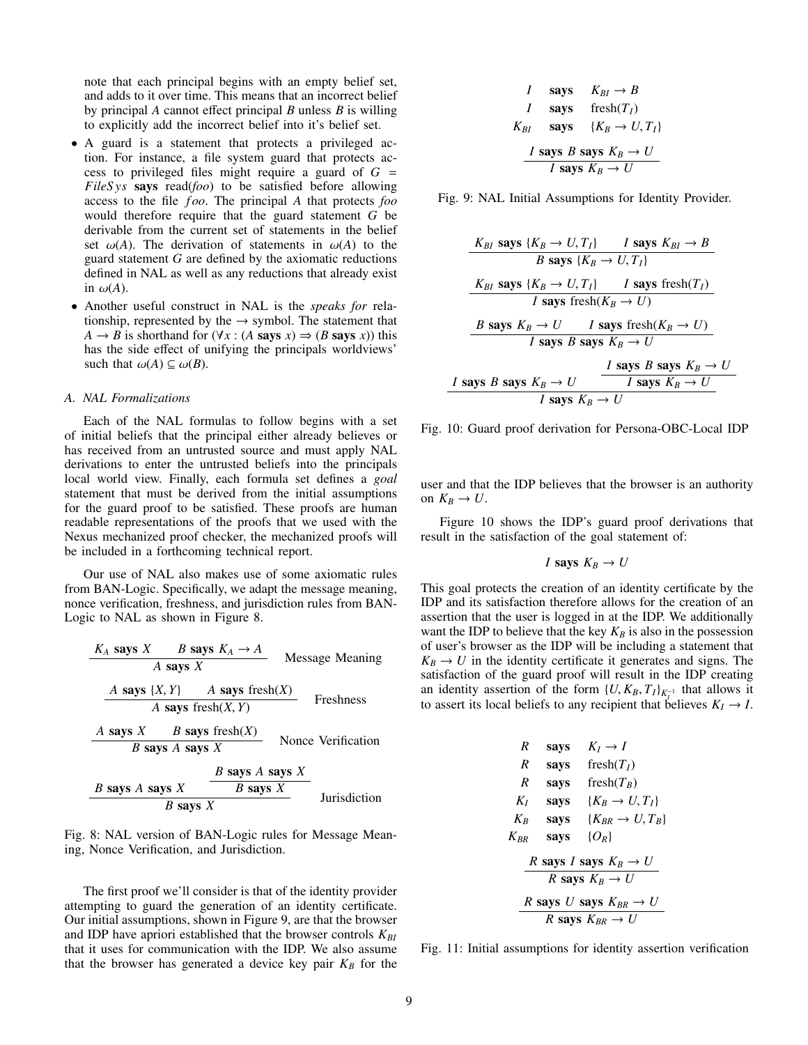note that each principal begins with an empty belief set, and adds to it over time. This means that an incorrect belief by principal *A* cannot effect principal *B* unless *B* is willing to explicitly add the incorrect belief into it's belief set.

- A guard is a statement that protects a privileged action. For instance, a file system guard that protects access to privileged files might require a guard of *G* = *FileS ys* says read(*foo*) to be satisfied before allowing access to the file *f oo*. The principal *A* that protects *foo* would therefore require that the guard statement *G* be derivable from the current set of statements in the belief set  $\omega(A)$ . The derivation of statements in  $\omega(A)$  to the guard statement *G* are defined by the axiomatic reductions defined in NAL as well as any reductions that already exist in  $\omega(A)$ .
- Another useful construct in NAL is the *speaks for* relationship, represented by the  $\rightarrow$  symbol. The statement that  $A \rightarrow B$  is shorthand for  $(\forall x : (A \text{ says } x) \Rightarrow (B \text{ says } x))$  this has the side effect of unifying the principals worldviews' such that  $\omega(A) \subseteq \omega(B)$ .

## *A. NAL Formalizations*

Each of the NAL formulas to follow begins with a set of initial beliefs that the principal either already believes or has received from an untrusted source and must apply NAL derivations to enter the untrusted beliefs into the principals local world view. Finally, each formula set defines a *goal* statement that must be derived from the initial assumptions for the guard proof to be satisfied. These proofs are human readable representations of the proofs that we used with the Nexus mechanized proof checker, the mechanized proofs will be included in a forthcoming technical report.

Our use of NAL also makes use of some axiomatic rules from BAN-Logic. Specifically, we adapt the message meaning, nonce verification, freshness, and jurisdiction rules from BAN-Logic to NAL as shown in Figure 8.

| $K_A$ says $X$        | $B$ says $K_A \rightarrow A$ | Message Meaning   |
|-----------------------|------------------------------|-------------------|
| $A$ says $\{X, Y\}$   | $A$ says fresh $(X)$         | Freshness         |
| $A$ says $X$          | $B$ says fresh $(X, Y)$      | Freshness         |
| $A$ says $X$          | $B$ says $X$                 | None Verification |
| $B$ says $A$ says $X$ | $B$ says $X$                 |                   |
| $B$ says $X$          | $B$ says $X$                 | During            |
| $B$ says $X$          | $B$ says $X$                 | During            |

Fig. 8: NAL version of BAN-Logic rules for Message Meaning, Nonce Verification, and Jurisdiction.

The first proof we'll consider is that of the identity provider attempting to guard the generation of an identity certificate. Our initial assumptions, shown in Figure 9, are that the browser and IDP have apriori established that the browser controls  $K_{BI}$ that it uses for communication with the IDP. We also assume that the browser has generated a device key pair  $K_B$  for the

*I* says 
$$
K_{BI} \rightarrow B
$$
  
\n*I* says  $fresh(T_I)$   
\n $K_{BI}$  says  $\{K_B \rightarrow U, T_I\}$   
\n*I* says  $B$  says  $K_B \rightarrow U$   
\n*I* says  $K_B \rightarrow U$ 

Fig. 9: NAL Initial Assumptions for Identity Provider.

| $K_{BI}$ says $\{K_B \rightarrow U, T_I\}$ | $I$ says $K_{BI} \rightarrow B$           |
|--------------------------------------------|-------------------------------------------|
| $B$ says $\{K_B \rightarrow U, T_I\}$      | $I$ says $\text{fcsh}(T_I)$               |
| $I$ says $K_B \rightarrow U, T_I$          | $I$ says $\text{fcsh}(K_B \rightarrow U)$ |
| $B$ says $K_B \rightarrow U$               | $I$ says $K_B \rightarrow U$              |
| $I$ says $B$ says $K_B \rightarrow U$      | $I$ says $B$ says $K_B \rightarrow U$     |
| $I$ says $B$ says $K_B \rightarrow U$      | $I$ says $K_B \rightarrow U$              |
| $I$ says $K_B \rightarrow U$               | $I$ says $K_B \rightarrow U$              |

Fig. 10: Guard proof derivation for Persona-OBC-Local IDP

user and that the IDP believes that the browser is an authority on  $K_B \to U$ .

Figure 10 shows the IDP's guard proof derivations that result in the satisfaction of the goal statement of:

$$
I \text{ says } K_B \to U
$$

This goal protects the creation of an identity certificate by the IDP and its satisfaction therefore allows for the creation of an assertion that the user is logged in at the IDP. We additionally want the IDP to believe that the key  $K_B$  is also in the possession of user's browser as the IDP will be including a statement that  $K_B \rightarrow U$  in the identity certificate it generates and signs. The satisfaction of the guard proof will result in the IDP creating an identity assertion of the form  $\{U, K_B, T_I\}_{K_I^{-1}}$  that allows it to assert its local beliefs to any recipient that believes  $K_I \rightarrow I$ .

R says 
$$
K_I \rightarrow I
$$
  
\nR says  $\text{ fresh}(T_I)$   
\nR says  $\text{ fresh}(T_B)$   
\n $K_I$  says  $\{K_B \rightarrow U, T_I\}$   
\n $K_B$  says  $\{K_{BR} \rightarrow U, T_B\}$   
\n $K_{BR}$  says  $\{O_R\}$   
\nR says I says  $K_B \rightarrow U$   
\nR says  $U$  says  $K_B \rightarrow U$   
\nR says  $U$  says  $K_{BR} \rightarrow U$ 

Fig. 11: Initial assumptions for identity assertion verification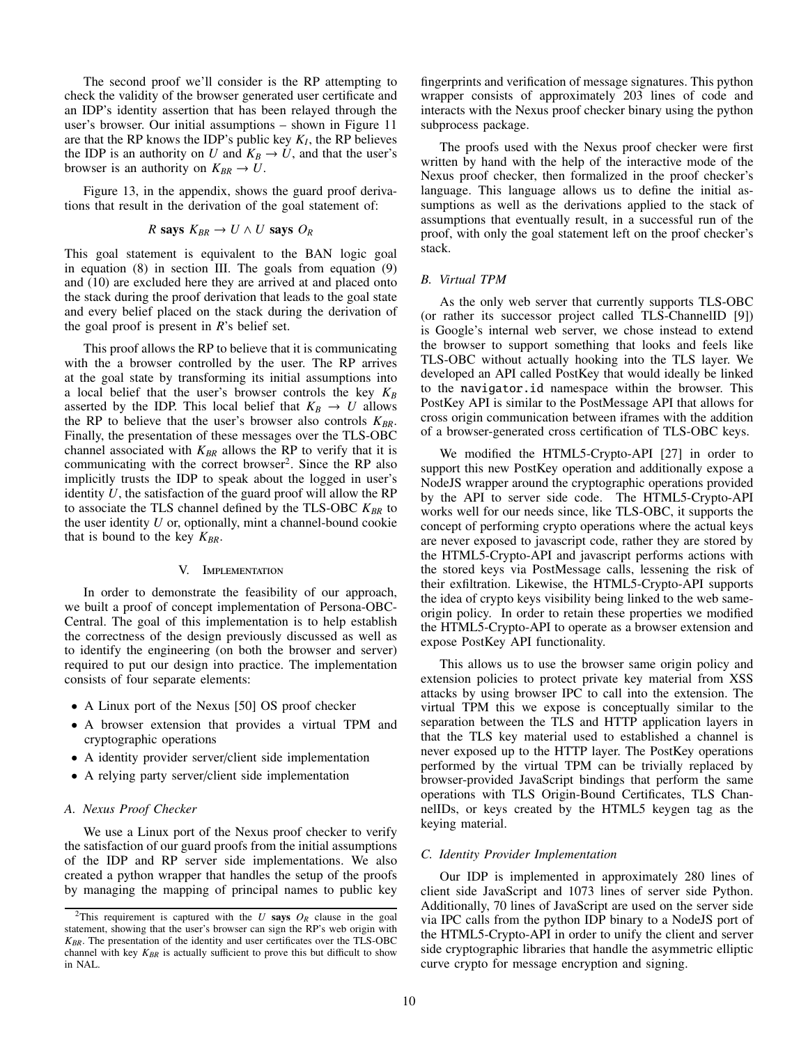The second proof we'll consider is the RP attempting to check the validity of the browser generated user certificate and an IDP's identity assertion that has been relayed through the user's browser. Our initial assumptions – shown in Figure 11 are that the RP knows the IDP's public key  $K_I$ , the RP believes the IDP is an authority on *U* and  $K_B \to U$ , and that the user's browser is an authority on  $K_{BR} \to U$ .

Figure 13, in the appendix, shows the guard proof derivations that result in the derivation of the goal statement of:

R says 
$$
K_{BR} \to U \wedge U
$$
 says  $O_R$ 

This goal statement is equivalent to the BAN logic goal in equation (8) in section III. The goals from equation (9) and (10) are excluded here they are arrived at and placed onto the stack during the proof derivation that leads to the goal state and every belief placed on the stack during the derivation of the goal proof is present in *R*'s belief set.

This proof allows the RP to believe that it is communicating with the a browser controlled by the user. The RP arrives at the goal state by transforming its initial assumptions into a local belief that the user's browser controls the key  $K_B$ asserted by the IDP. This local belief that  $K_B \rightarrow U$  allows the RP to believe that the user's browser also controls  $K_{BR}$ . Finally, the presentation of these messages over the TLS-OBC channel associated with  $K_{BR}$  allows the RP to verify that it is communicating with the correct browser<sup>2</sup>. Since the RP also implicitly trusts the IDP to speak about the logged in user's identity *U*, the satisfaction of the guard proof will allow the RP to associate the TLS channel defined by the TLS-OBC  $K_{BR}$  to the user identity *U* or, optionally, mint a channel-bound cookie that is bound to the key  $K_{BR}$ .

#### V. Implementation

In order to demonstrate the feasibility of our approach, we built a proof of concept implementation of Persona-OBC-Central. The goal of this implementation is to help establish the correctness of the design previously discussed as well as to identify the engineering (on both the browser and server) required to put our design into practice. The implementation consists of four separate elements:

- A Linux port of the Nexus [50] OS proof checker
- A browser extension that provides a virtual TPM and cryptographic operations
- A identity provider server/client side implementation
- A relying party server/client side implementation

## *A. Nexus Proof Checker*

We use a Linux port of the Nexus proof checker to verify the satisfaction of our guard proofs from the initial assumptions of the IDP and RP server side implementations. We also created a python wrapper that handles the setup of the proofs by managing the mapping of principal names to public key fingerprints and verification of message signatures. This python wrapper consists of approximately 203 lines of code and interacts with the Nexus proof checker binary using the python subprocess package.

The proofs used with the Nexus proof checker were first written by hand with the help of the interactive mode of the Nexus proof checker, then formalized in the proof checker's language. This language allows us to define the initial assumptions as well as the derivations applied to the stack of assumptions that eventually result, in a successful run of the proof, with only the goal statement left on the proof checker's stack.

## *B. Virtual TPM*

As the only web server that currently supports TLS-OBC (or rather its successor project called TLS-ChannelID [9]) is Google's internal web server, we chose instead to extend the browser to support something that looks and feels like TLS-OBC without actually hooking into the TLS layer. We developed an API called PostKey that would ideally be linked to the navigator.id namespace within the browser. This PostKey API is similar to the PostMessage API that allows for cross origin communication between iframes with the addition of a browser-generated cross certification of TLS-OBC keys.

We modified the HTML5-Crypto-API [27] in order to support this new PostKey operation and additionally expose a NodeJS wrapper around the cryptographic operations provided by the API to server side code. The HTML5-Crypto-API works well for our needs since, like TLS-OBC, it supports the concept of performing crypto operations where the actual keys are never exposed to javascript code, rather they are stored by the HTML5-Crypto-API and javascript performs actions with the stored keys via PostMessage calls, lessening the risk of their exfiltration. Likewise, the HTML5-Crypto-API supports the idea of crypto keys visibility being linked to the web sameorigin policy. In order to retain these properties we modified the HTML5-Crypto-API to operate as a browser extension and expose PostKey API functionality.

This allows us to use the browser same origin policy and extension policies to protect private key material from XSS attacks by using browser IPC to call into the extension. The virtual TPM this we expose is conceptually similar to the separation between the TLS and HTTP application layers in that the TLS key material used to established a channel is never exposed up to the HTTP layer. The PostKey operations performed by the virtual TPM can be trivially replaced by browser-provided JavaScript bindings that perform the same operations with TLS Origin-Bound Certificates, TLS ChannelIDs, or keys created by the HTML5 keygen tag as the keying material.

## *C. Identity Provider Implementation*

Our IDP is implemented in approximately 280 lines of client side JavaScript and 1073 lines of server side Python. Additionally, 70 lines of JavaScript are used on the server side via IPC calls from the python IDP binary to a NodeJS port of the HTML5-Crypto-API in order to unify the client and server side cryptographic libraries that handle the asymmetric elliptic curve crypto for message encryption and signing.

<sup>&</sup>lt;sup>2</sup>This requirement is captured with the *U* says  $O_R$  clause in the goal statement, showing that the user's browser can sign the RP's web origin with *KBR*. The presentation of the identity and user certificates over the TLS-OBC channel with key  $K_{BR}$  is actually sufficient to prove this but difficult to show in NAL.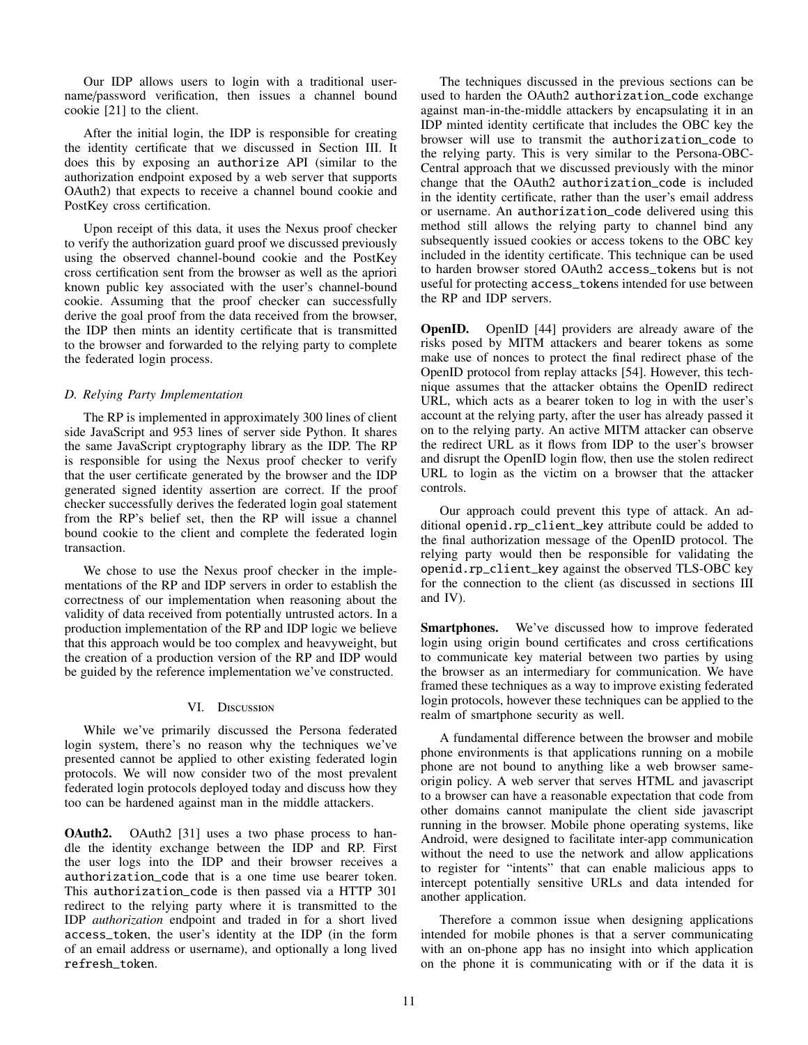Our IDP allows users to login with a traditional username/password verification, then issues a channel bound cookie [21] to the client.

After the initial login, the IDP is responsible for creating the identity certificate that we discussed in Section III. It does this by exposing an authorize API (similar to the authorization endpoint exposed by a web server that supports OAuth2) that expects to receive a channel bound cookie and PostKey cross certification.

Upon receipt of this data, it uses the Nexus proof checker to verify the authorization guard proof we discussed previously using the observed channel-bound cookie and the PostKey cross certification sent from the browser as well as the apriori known public key associated with the user's channel-bound cookie. Assuming that the proof checker can successfully derive the goal proof from the data received from the browser, the IDP then mints an identity certificate that is transmitted to the browser and forwarded to the relying party to complete the federated login process.

# *D. Relying Party Implementation*

The RP is implemented in approximately 300 lines of client side JavaScript and 953 lines of server side Python. It shares the same JavaScript cryptography library as the IDP. The RP is responsible for using the Nexus proof checker to verify that the user certificate generated by the browser and the IDP generated signed identity assertion are correct. If the proof checker successfully derives the federated login goal statement from the RP's belief set, then the RP will issue a channel bound cookie to the client and complete the federated login transaction.

We chose to use the Nexus proof checker in the implementations of the RP and IDP servers in order to establish the correctness of our implementation when reasoning about the validity of data received from potentially untrusted actors. In a production implementation of the RP and IDP logic we believe that this approach would be too complex and heavyweight, but the creation of a production version of the RP and IDP would be guided by the reference implementation we've constructed.

## VI. Discussion

While we've primarily discussed the Persona federated login system, there's no reason why the techniques we've presented cannot be applied to other existing federated login protocols. We will now consider two of the most prevalent federated login protocols deployed today and discuss how they too can be hardened against man in the middle attackers.

**OAuth2.** OAuth2 [31] uses a two phase process to handle the identity exchange between the IDP and RP. First the user logs into the IDP and their browser receives a authorization\_code that is a one time use bearer token. This authorization\_code is then passed via a HTTP 301 redirect to the relying party where it is transmitted to the IDP *authorization* endpoint and traded in for a short lived access\_token, the user's identity at the IDP (in the form of an email address or username), and optionally a long lived refresh\_token.

The techniques discussed in the previous sections can be used to harden the OAuth2 authorization\_code exchange against man-in-the-middle attackers by encapsulating it in an IDP minted identity certificate that includes the OBC key the browser will use to transmit the authorization\_code to the relying party. This is very similar to the Persona-OBC-Central approach that we discussed previously with the minor change that the OAuth2 authorization\_code is included in the identity certificate, rather than the user's email address or username. An authorization\_code delivered using this method still allows the relying party to channel bind any subsequently issued cookies or access tokens to the OBC key included in the identity certificate. This technique can be used to harden browser stored OAuth2 access\_tokens but is not useful for protecting access\_tokens intended for use between the RP and IDP servers.

OpenID. OpenID [44] providers are already aware of the risks posed by MITM attackers and bearer tokens as some make use of nonces to protect the final redirect phase of the OpenID protocol from replay attacks [54]. However, this technique assumes that the attacker obtains the OpenID redirect URL, which acts as a bearer token to log in with the user's account at the relying party, after the user has already passed it on to the relying party. An active MITM attacker can observe the redirect URL as it flows from IDP to the user's browser and disrupt the OpenID login flow, then use the stolen redirect URL to login as the victim on a browser that the attacker controls.

Our approach could prevent this type of attack. An additional openid.rp\_client\_key attribute could be added to the final authorization message of the OpenID protocol. The relying party would then be responsible for validating the openid.rp\_client\_key against the observed TLS-OBC key for the connection to the client (as discussed in sections III and IV).

Smartphones. We've discussed how to improve federated login using origin bound certificates and cross certifications to communicate key material between two parties by using the browser as an intermediary for communication. We have framed these techniques as a way to improve existing federated login protocols, however these techniques can be applied to the realm of smartphone security as well.

A fundamental difference between the browser and mobile phone environments is that applications running on a mobile phone are not bound to anything like a web browser sameorigin policy. A web server that serves HTML and javascript to a browser can have a reasonable expectation that code from other domains cannot manipulate the client side javascript running in the browser. Mobile phone operating systems, like Android, were designed to facilitate inter-app communication without the need to use the network and allow applications to register for "intents" that can enable malicious apps to intercept potentially sensitive URLs and data intended for another application.

Therefore a common issue when designing applications intended for mobile phones is that a server communicating with an on-phone app has no insight into which application on the phone it is communicating with or if the data it is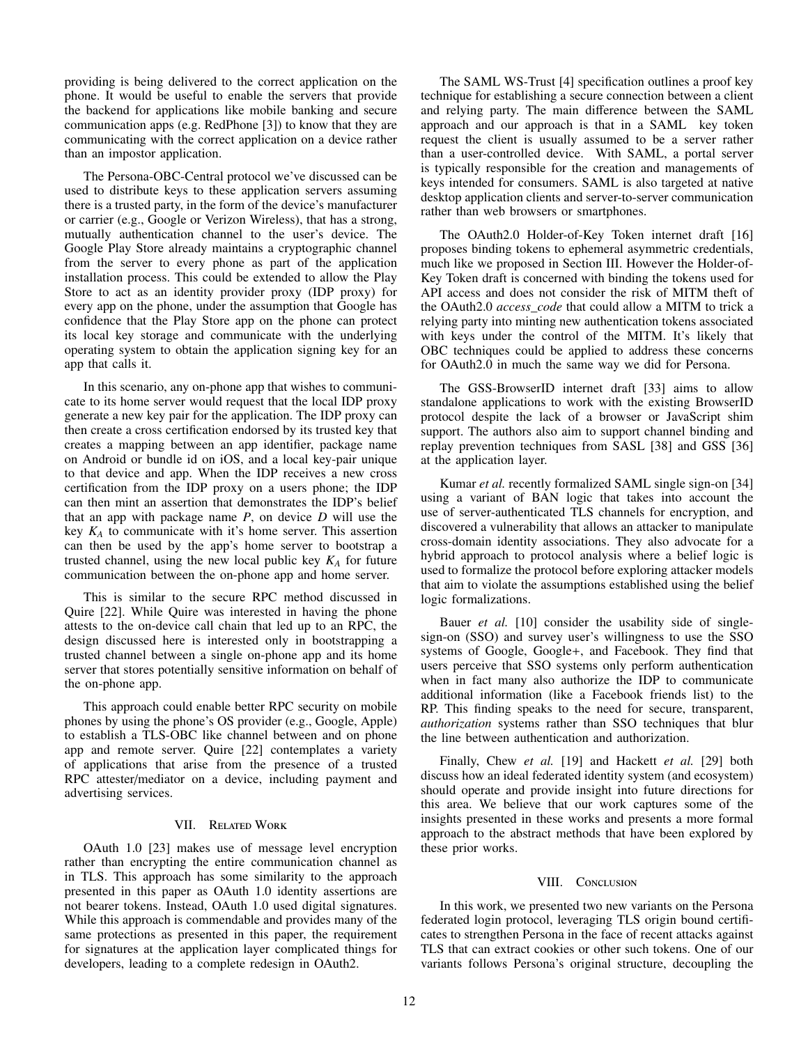providing is being delivered to the correct application on the phone. It would be useful to enable the servers that provide the backend for applications like mobile banking and secure communication apps (e.g. RedPhone [3]) to know that they are communicating with the correct application on a device rather than an impostor application.

The Persona-OBC-Central protocol we've discussed can be used to distribute keys to these application servers assuming there is a trusted party, in the form of the device's manufacturer or carrier (e.g., Google or Verizon Wireless), that has a strong, mutually authentication channel to the user's device. The Google Play Store already maintains a cryptographic channel from the server to every phone as part of the application installation process. This could be extended to allow the Play Store to act as an identity provider proxy (IDP proxy) for every app on the phone, under the assumption that Google has confidence that the Play Store app on the phone can protect its local key storage and communicate with the underlying operating system to obtain the application signing key for an app that calls it.

In this scenario, any on-phone app that wishes to communicate to its home server would request that the local IDP proxy generate a new key pair for the application. The IDP proxy can then create a cross certification endorsed by its trusted key that creates a mapping between an app identifier, package name on Android or bundle id on iOS, and a local key-pair unique to that device and app. When the IDP receives a new cross certification from the IDP proxy on a users phone; the IDP can then mint an assertion that demonstrates the IDP's belief that an app with package name *P*, on device *D* will use the key  $K_A$  to communicate with it's home server. This assertion can then be used by the app's home server to bootstrap a trusted channel, using the new local public key  $K_A$  for future communication between the on-phone app and home server.

This is similar to the secure RPC method discussed in Quire [22]. While Quire was interested in having the phone attests to the on-device call chain that led up to an RPC, the design discussed here is interested only in bootstrapping a trusted channel between a single on-phone app and its home server that stores potentially sensitive information on behalf of the on-phone app.

This approach could enable better RPC security on mobile phones by using the phone's OS provider (e.g., Google, Apple) to establish a TLS-OBC like channel between and on phone app and remote server. Quire [22] contemplates a variety of applications that arise from the presence of a trusted RPC attester/mediator on a device, including payment and advertising services.

# VII. Related Work

OAuth 1.0 [23] makes use of message level encryption rather than encrypting the entire communication channel as in TLS. This approach has some similarity to the approach presented in this paper as OAuth 1.0 identity assertions are not bearer tokens. Instead, OAuth 1.0 used digital signatures. While this approach is commendable and provides many of the same protections as presented in this paper, the requirement for signatures at the application layer complicated things for developers, leading to a complete redesign in OAuth2.

The SAML WS-Trust [4] specification outlines a proof key technique for establishing a secure connection between a client and relying party. The main difference between the SAML approach and our approach is that in a SAML key token request the client is usually assumed to be a server rather than a user-controlled device. With SAML, a portal server is typically responsible for the creation and managements of keys intended for consumers. SAML is also targeted at native desktop application clients and server-to-server communication rather than web browsers or smartphones.

The OAuth2.0 Holder-of-Key Token internet draft [16] proposes binding tokens to ephemeral asymmetric credentials, much like we proposed in Section III. However the Holder-of-Key Token draft is concerned with binding the tokens used for API access and does not consider the risk of MITM theft of the OAuth2.0 *access\_code* that could allow a MITM to trick a relying party into minting new authentication tokens associated with keys under the control of the MITM. It's likely that OBC techniques could be applied to address these concerns for OAuth2.0 in much the same way we did for Persona.

The GSS-BrowserID internet draft [33] aims to allow standalone applications to work with the existing BrowserID protocol despite the lack of a browser or JavaScript shim support. The authors also aim to support channel binding and replay prevention techniques from SASL [38] and GSS [36] at the application layer.

Kumar *et al.* recently formalized SAML single sign-on [34] using a variant of BAN logic that takes into account the use of server-authenticated TLS channels for encryption, and discovered a vulnerability that allows an attacker to manipulate cross-domain identity associations. They also advocate for a hybrid approach to protocol analysis where a belief logic is used to formalize the protocol before exploring attacker models that aim to violate the assumptions established using the belief logic formalizations.

Bauer *et al.* [10] consider the usability side of singlesign-on (SSO) and survey user's willingness to use the SSO systems of Google, Google+, and Facebook. They find that users perceive that SSO systems only perform authentication when in fact many also authorize the IDP to communicate additional information (like a Facebook friends list) to the RP. This finding speaks to the need for secure, transparent, *authorization* systems rather than SSO techniques that blur the line between authentication and authorization.

Finally, Chew *et al.* [19] and Hackett *et al.* [29] both discuss how an ideal federated identity system (and ecosystem) should operate and provide insight into future directions for this area. We believe that our work captures some of the insights presented in these works and presents a more formal approach to the abstract methods that have been explored by these prior works.

#### VIII. CONCLUSION

In this work, we presented two new variants on the Persona federated login protocol, leveraging TLS origin bound certificates to strengthen Persona in the face of recent attacks against TLS that can extract cookies or other such tokens. One of our variants follows Persona's original structure, decoupling the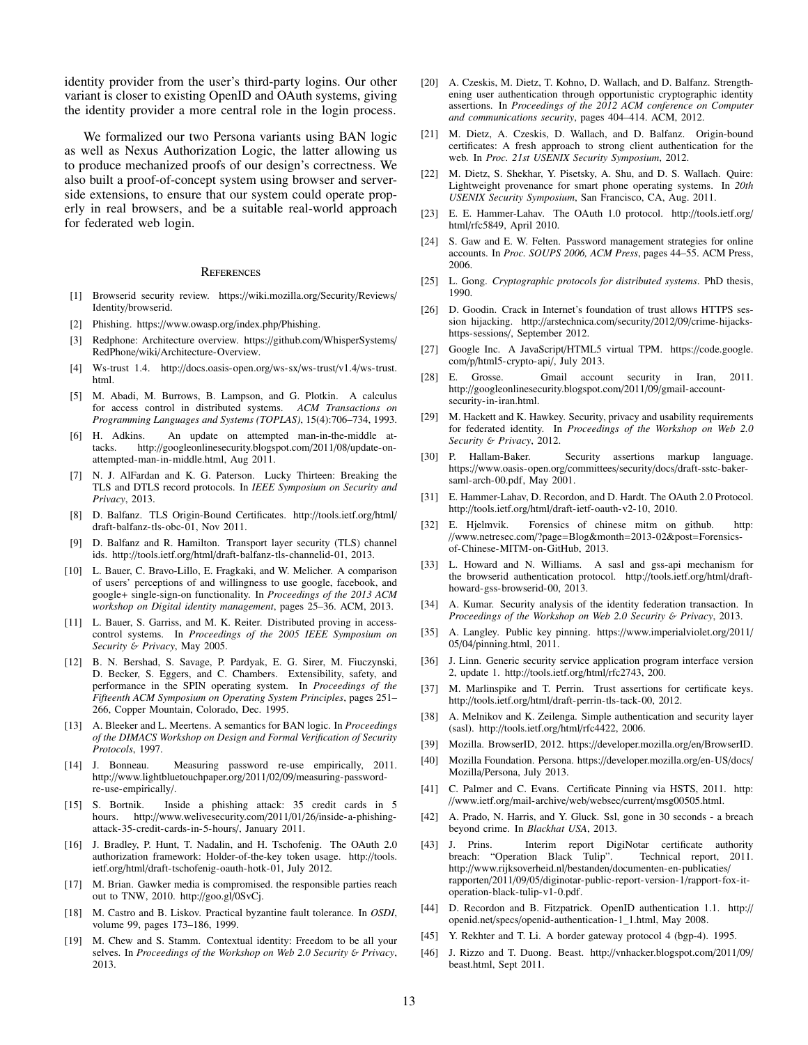identity provider from the user's third-party logins. Our other variant is closer to existing OpenID and OAuth systems, giving the identity provider a more central role in the login process.

We formalized our two Persona variants using BAN logic as well as Nexus Authorization Logic, the latter allowing us to produce mechanized proofs of our design's correctness. We also built a proof-of-concept system using browser and serverside extensions, to ensure that our system could operate properly in real browsers, and be a suitable real-world approach for federated web login.

#### **REFERENCES**

- [1] Browserid security review. https://wiki.mozilla.org/Security/Reviews/ Identity/browserid.
- [2] Phishing. https://www.owasp.org/index.php/Phishing.
- [3] Redphone: Architecture overview. https://github.com/WhisperSystems/ RedPhone/wiki/Architecture-Overview.
- [4] Ws-trust 1.4. http://docs.oasis-open.org/ws-sx/ws-trust/v1.4/ws-trust. html.
- [5] M. Abadi, M. Burrows, B. Lampson, and G. Plotkin. A calculus for access control in distributed systems. *ACM Transactions on Programming Languages and Systems (TOPLAS)*, 15(4):706–734, 1993.
- [6] H. Adkins. An update on attempted man-in-the-middle attacks. http://googleonlinesecurity.blogspot.com/2011/08/update-onattempted-man-in-middle.html, Aug 2011.
- [7] N. J. AlFardan and K. G. Paterson. Lucky Thirteen: Breaking the TLS and DTLS record protocols. In *IEEE Symposium on Security and Privacy*, 2013.
- [8] D. Balfanz. TLS Origin-Bound Certificates. http://tools.ietf.org/html/ draft-balfanz-tls-obc-01, Nov 2011.
- [9] D. Balfanz and R. Hamilton. Transport layer security (TLS) channel ids. http://tools.ietf.org/html/draft-balfanz-tls-channelid-01, 2013.
- [10] L. Bauer, C. Bravo-Lillo, E. Fragkaki, and W. Melicher. A comparison of users' perceptions of and willingness to use google, facebook, and google+ single-sign-on functionality. In *Proceedings of the 2013 ACM workshop on Digital identity management*, pages 25–36. ACM, 2013.
- [11] L. Bauer, S. Garriss, and M. K. Reiter. Distributed proving in accesscontrol systems. In *Proceedings of the 2005 IEEE Symposium on Security* & *Privacy*, May 2005.
- [12] B. N. Bershad, S. Savage, P. Pardyak, E. G. Sirer, M. Fiuczynski, D. Becker, S. Eggers, and C. Chambers. Extensibility, safety, and performance in the SPIN operating system. In *Proceedings of the Fifteenth ACM Symposium on Operating System Principles*, pages 251– 266, Copper Mountain, Colorado, Dec. 1995.
- [13] A. Bleeker and L. Meertens. A semantics for BAN logic. In *Proceedings of the DIMACS Workshop on Design and Formal Verification of Security Protocols*, 1997.
- [14] J. Bonneau. Measuring password re-use empirically, 2011. http://www.lightbluetouchpaper.org/2011/02/09/measuring-passwordre-use-empirically/.
- [15] S. Bortnik. Inside a phishing attack: 35 credit cards in 5 hours. http://www.welivesecurity.com/2011/01/26/inside-a-phishingattack-35-credit-cards-in-5-hours/, January 2011.
- [16] J. Bradley, P. Hunt, T. Nadalin, and H. Tschofenig. The OAuth 2.0 authorization framework: Holder-of-the-key token usage. http://tools. ietf.org/html/draft-tschofenig-oauth-hotk-01, July 2012.
- [17] M. Brian. Gawker media is compromised. the responsible parties reach out to TNW, 2010. http://goo.gl/0SvCj.
- [18] M. Castro and B. Liskov. Practical byzantine fault tolerance. In *OSDI*, volume 99, pages 173–186, 1999.
- [19] M. Chew and S. Stamm. Contextual identity: Freedom to be all your selves. In *Proceedings of the Workshop on Web 2.0 Security* & *Privacy*, 2013.
- [20] A. Czeskis, M. Dietz, T. Kohno, D. Wallach, and D. Balfanz. Strengthening user authentication through opportunistic cryptographic identity assertions. In *Proceedings of the 2012 ACM conference on Computer and communications security*, pages 404–414. ACM, 2012.
- [21] M. Dietz, A. Czeskis, D. Wallach, and D. Balfanz. Origin-bound certificates: A fresh approach to strong client authentication for the web. In *Proc. 21st USENIX Security Symposium*, 2012.
- [22] M. Dietz, S. Shekhar, Y. Pisetsky, A. Shu, and D. S. Wallach. Quire: Lightweight provenance for smart phone operating systems. In *20th USENIX Security Symposium*, San Francisco, CA, Aug. 2011.
- [23] E. E. Hammer-Lahav. The OAuth 1.0 protocol. http://tools.ietf.org/ html/rfc5849, April 2010.
- [24] S. Gaw and E. W. Felten. Password management strategies for online accounts. In *Proc. SOUPS 2006, ACM Press*, pages 44–55. ACM Press, 2006.
- [25] L. Gong. *Cryptographic protocols for distributed systems*. PhD thesis, 1990.
- [26] D. Goodin. Crack in Internet's foundation of trust allows HTTPS session hijacking. http://arstechnica.com/security/2012/09/crime-hijackshttps-sessions/, September 2012.
- [27] Google Inc. A JavaScript/HTML5 virtual TPM. https://code.google. com/p/html5-crypto-api/, July 2013.
- [28] E. Grosse. Gmail account security in Iran, 2011. http://googleonlinesecurity.blogspot.com/2011/09/gmail-accountsecurity-in-iran.html.
- [29] M. Hackett and K. Hawkey. Security, privacy and usability requirements for federated identity. In *Proceedings of the Workshop on Web 2.0 Security* & *Privacy*, 2012.
- [30] P. Hallam-Baker. Security assertions markup language. https://www.oasis-open.org/committees/security/docs/draft-sstc-bakersaml-arch-00.pdf, May 2001.
- [31] E. Hammer-Lahav, D. Recordon, and D. Hardt. The OAuth 2.0 Protocol. http://tools.ietf.org/html/draft-ietf-oauth-v2-10, 2010.
- [32] E. Hjelmvik. Forensics of chinese mitm on github. http: //www.netresec.com/?page=Blog&month=2013-02&post=Forensicsof-Chinese-MITM-on-GitHub, 2013.
- [33] L. Howard and N. Williams. A sasl and gss-api mechanism for the browserid authentication protocol. http://tools.ietf.org/html/drafthoward-gss-browserid-00, 2013.
- [34] A. Kumar. Security analysis of the identity federation transaction. In *Proceedings of the Workshop on Web 2.0 Security* & *Privacy*, 2013.
- [35] A. Langley. Public key pinning. https://www.imperialviolet.org/2011/ 05/04/pinning.html, 2011.
- [36] J. Linn. Generic security service application program interface version 2, update 1. http://tools.ietf.org/html/rfc2743, 200.
- [37] M. Marlinspike and T. Perrin. Trust assertions for certificate keys. http://tools.ietf.org/html/draft-perrin-tls-tack-00, 2012.
- [38] A. Melnikov and K. Zeilenga. Simple authentication and security layer (sasl). http://tools.ietf.org/html/rfc4422, 2006.
- [39] Mozilla. BrowserID, 2012. https://developer.mozilla.org/en/BrowserID.
- [40] Mozilla Foundation. Persona. https://developer.mozilla.org/en-US/docs/ Mozilla/Persona, July 2013.
- [41] C. Palmer and C. Evans. Certificate Pinning via HSTS, 2011. http: //www.ietf.org/mail-archive/web/websec/current/msg00505.html.
- [42] A. Prado, N. Harris, and Y. Gluck. Ssl, gone in 30 seconds a breach beyond crime. In *Blackhat USA*, 2013.
- [43] J. Prins. Interim report DigiNotar certificate authority breach: "Operation Black Tulip". Technical report, 2011. http://www.rijksoverheid.nl/bestanden/documenten-en-publicaties/ rapporten/2011/09/05/diginotar-public-report-version-1/rapport-fox-itoperation-black-tulip-v1-0.pdf.
- [44] D. Recordon and B. Fitzpatrick. OpenID authentication 1.1. http:// openid.net/specs/openid-authentication-1\_1.html, May 2008.
- [45] Y. Rekhter and T. Li. A border gateway protocol 4 (bgp-4). 1995.
- [46] J. Rizzo and T. Duong. Beast. http://vnhacker.blogspot.com/2011/09/ beast.html, Sept 2011.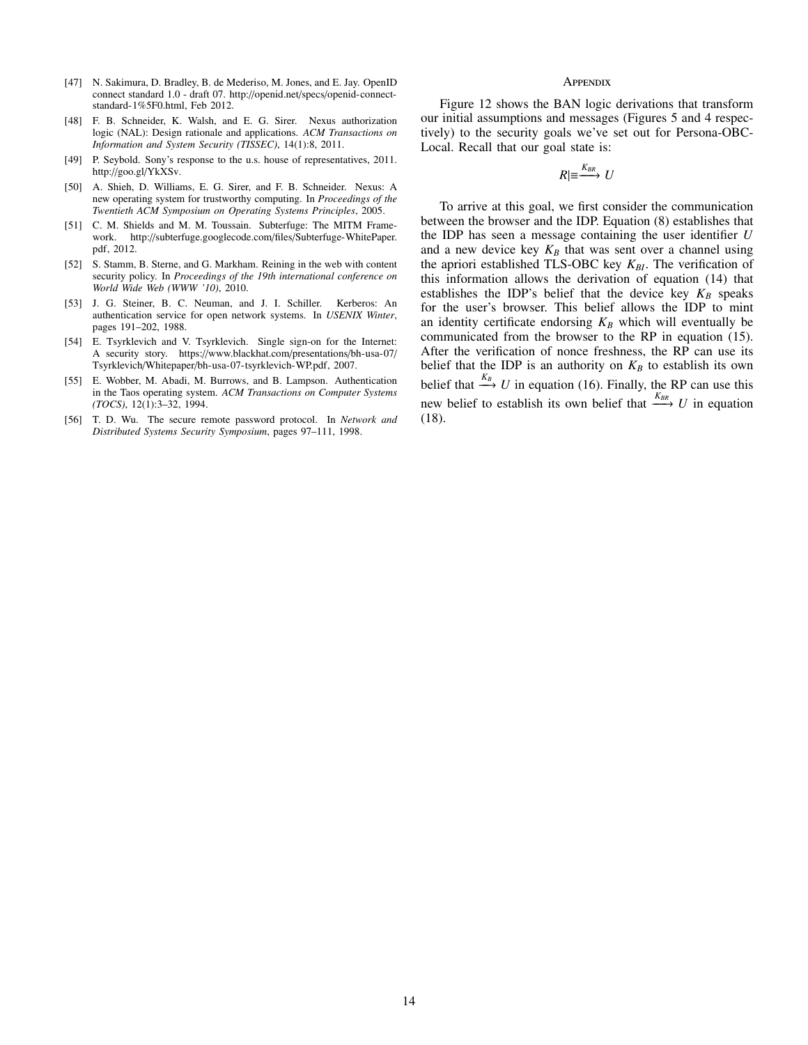- [47] N. Sakimura, D. Bradley, B. de Mederiso, M. Jones, and E. Jay. OpenID connect standard 1.0 - draft 07. http://openid.net/specs/openid-connectstandard-1%5F0.html, Feb 2012.
- [48] F. B. Schneider, K. Walsh, and E. G. Sirer. Nexus authorization logic (NAL): Design rationale and applications. *ACM Transactions on Information and System Security (TISSEC)*, 14(1):8, 2011.
- [49] P. Seybold. Sony's response to the u.s. house of representatives, 2011. http://goo.gl/YkXSv.
- [50] A. Shieh, D. Williams, E. G. Sirer, and F. B. Schneider. Nexus: A new operating system for trustworthy computing. In *Proceedings of the Twentieth ACM Symposium on Operating Systems Principles*, 2005.
- [51] C. M. Shields and M. M. Toussain. Subterfuge: The MITM Framework. http://subterfuge.googlecode.com/files/Subterfuge-WhitePaper. pdf, 2012.
- [52] S. Stamm, B. Sterne, and G. Markham. Reining in the web with content security policy. In *Proceedings of the 19th international conference on World Wide Web (WWW '10)*, 2010.
- [53] J. G. Steiner, B. C. Neuman, and J. I. Schiller. Kerberos: An authentication service for open network systems. In *USENIX Winter*, pages 191–202, 1988.
- [54] E. Tsyrklevich and V. Tsyrklevich. Single sign-on for the Internet: A security story. https://www.blackhat.com/presentations/bh-usa-07/ Tsyrklevich/Whitepaper/bh-usa-07-tsyrklevich-WP.pdf, 2007.
- [55] E. Wobber, M. Abadi, M. Burrows, and B. Lampson. Authentication in the Taos operating system. *ACM Transactions on Computer Systems (TOCS)*, 12(1):3–32, 1994.
- [56] T. D. Wu. The secure remote password protocol. In *Network and Distributed Systems Security Symposium*, pages 97–111, 1998.

#### **APPENDIX**

Figure 12 shows the BAN logic derivations that transform our initial assumptions and messages (Figures 5 and 4 respectively) to the security goals we've set out for Persona-OBC-Local. Recall that our goal state is:

$$
R|\equiv \stackrel{K_{BR}}{\longrightarrow} U
$$

To arrive at this goal, we first consider the communication between the browser and the IDP. Equation (8) establishes that the IDP has seen a message containing the user identifier *U* and a new device key  $K_B$  that was sent over a channel using the apriori established TLS-OBC key  $K_{BI}$ . The verification of this information allows the derivation of equation (14) that establishes the IDP's belief that the device key  $K_B$  speaks for the user's browser. This belief allows the IDP to mint an identity certificate endorsing  $K_B$  which will eventually be communicated from the browser to the RP in equation (15). After the verification of nonce freshness, the RP can use its belief that the IDP is an authority on  $K_B$  to establish its own belief that  $\stackrel{K_B}{\longrightarrow} U$  in equation (16). Finally, the RP can use this new belief to establish its own belief that  $\frac{K_{BR}}{L}$  *U* in equation (18).